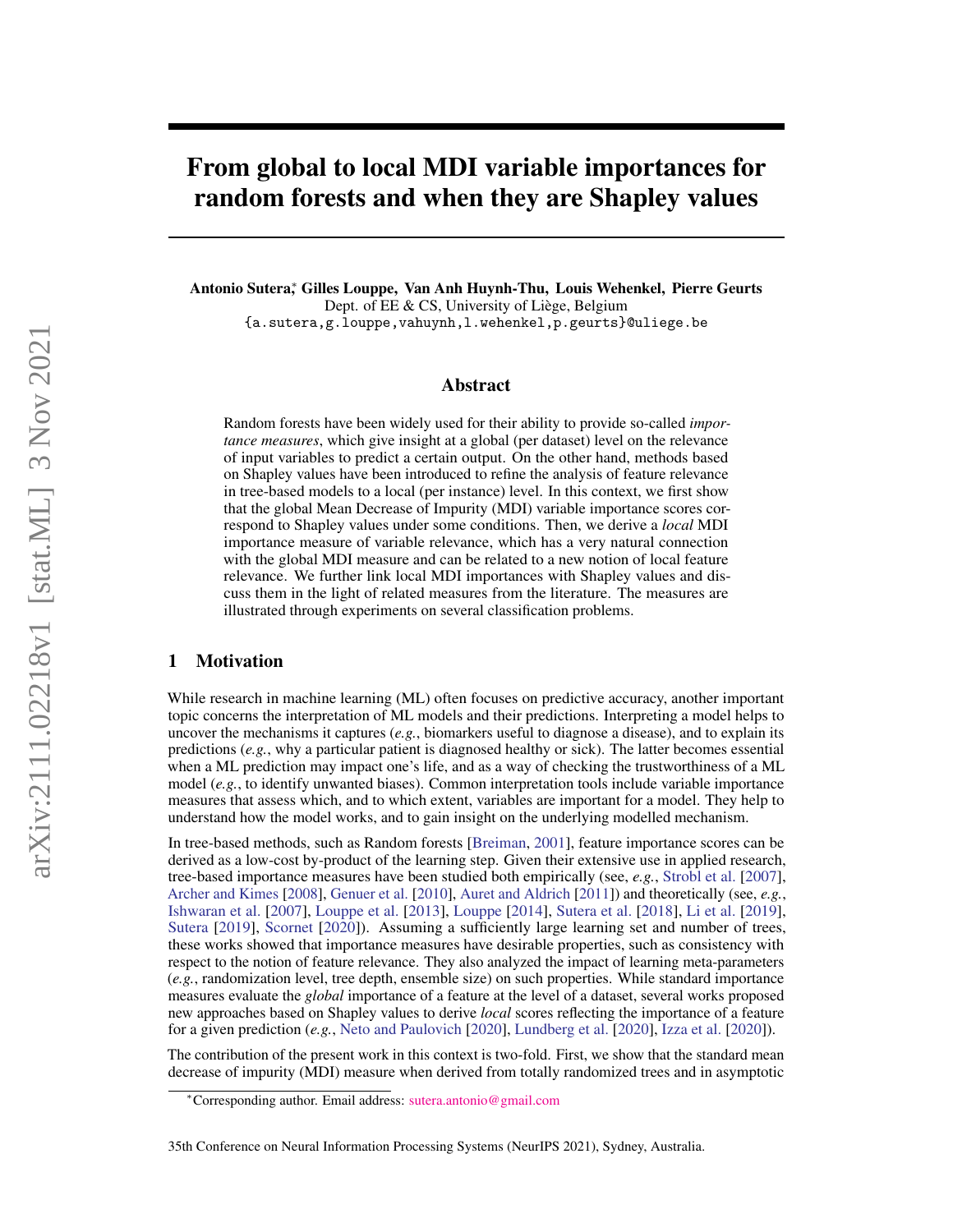# From global to local MDI variable importances for random forests and when they are Shapley values

Antonio Sutera<sup>∗</sup> , Gilles Louppe, Van Anh Huynh-Thu, Louis Wehenkel, Pierre Geurts Dept. of EE & CS, University of Liège, Belgium {a.sutera,g.louppe,vahuynh,l.wehenkel,p.geurts}@uliege.be

## Abstract

Random forests have been widely used for their ability to provide so-called *importance measures*, which give insight at a global (per dataset) level on the relevance of input variables to predict a certain output. On the other hand, methods based on Shapley values have been introduced to refine the analysis of feature relevance in tree-based models to a local (per instance) level. In this context, we first show that the global Mean Decrease of Impurity (MDI) variable importance scores correspond to Shapley values under some conditions. Then, we derive a *local* MDI importance measure of variable relevance, which has a very natural connection with the global MDI measure and can be related to a new notion of local feature relevance. We further link local MDI importances with Shapley values and discuss them in the light of related measures from the literature. The measures are illustrated through experiments on several classification problems.

## 1 Motivation

While research in machine learning (ML) often focuses on predictive accuracy, another important topic concerns the interpretation of ML models and their predictions. Interpreting a model helps to uncover the mechanisms it captures (*e.g.*, biomarkers useful to diagnose a disease), and to explain its predictions (*e.g.*, why a particular patient is diagnosed healthy or sick). The latter becomes essential when a ML prediction may impact one's life, and as a way of checking the trustworthiness of a ML model (*e.g.*, to identify unwanted biases). Common interpretation tools include variable importance measures that assess which, and to which extent, variables are important for a model. They help to understand how the model works, and to gain insight on the underlying modelled mechanism.

In tree-based methods, such as Random forests [\[Breiman,](#page-9-0) [2001\]](#page-9-0), feature importance scores can be derived as a low-cost by-product of the learning step. Given their extensive use in applied research, tree-based importance measures have been studied both empirically (see, *e.g.*, [Strobl et al.](#page-10-0) [\[2007\]](#page-10-0), [Archer and Kimes](#page-9-1) [\[2008\]](#page-9-1), [Genuer et al.](#page-9-2) [\[2010\]](#page-9-2), [Auret and Aldrich](#page-9-3) [\[2011\]](#page-9-3)) and theoretically (see, *e.g.*, [Ishwaran et al.](#page-9-4) [\[2007\]](#page-9-4), [Louppe et al.](#page-10-1) [\[2013\]](#page-10-1), [Louppe](#page-10-2) [\[2014\]](#page-10-2), [Sutera et al.](#page-10-3) [\[2018\]](#page-10-3), [Li et al.](#page-10-4) [\[2019\]](#page-10-4), [Sutera](#page-10-5) [\[2019\]](#page-10-5), [Scornet](#page-10-6) [\[2020\]](#page-10-6)). Assuming a sufficiently large learning set and number of trees, these works showed that importance measures have desirable properties, such as consistency with respect to the notion of feature relevance. They also analyzed the impact of learning meta-parameters (*e.g.*, randomization level, tree depth, ensemble size) on such properties. While standard importance measures evaluate the *global* importance of a feature at the level of a dataset, several works proposed new approaches based on Shapley values to derive *local* scores reflecting the importance of a feature for a given prediction (*e.g.*, [Neto and Paulovich](#page-10-7) [\[2020\]](#page-10-7), [Lundberg et al.](#page-10-8) [\[2020\]](#page-10-8), [Izza et al.](#page-9-5) [\[2020\]](#page-9-5)).

The contribution of the present work in this context is two-fold. First, we show that the standard mean decrease of impurity (MDI) measure when derived from totally randomized trees and in asymptotic

<sup>∗</sup>Corresponding author. Email address: [sutera.antonio@gmail.com](mailto:sutera.antonio@gmail.com)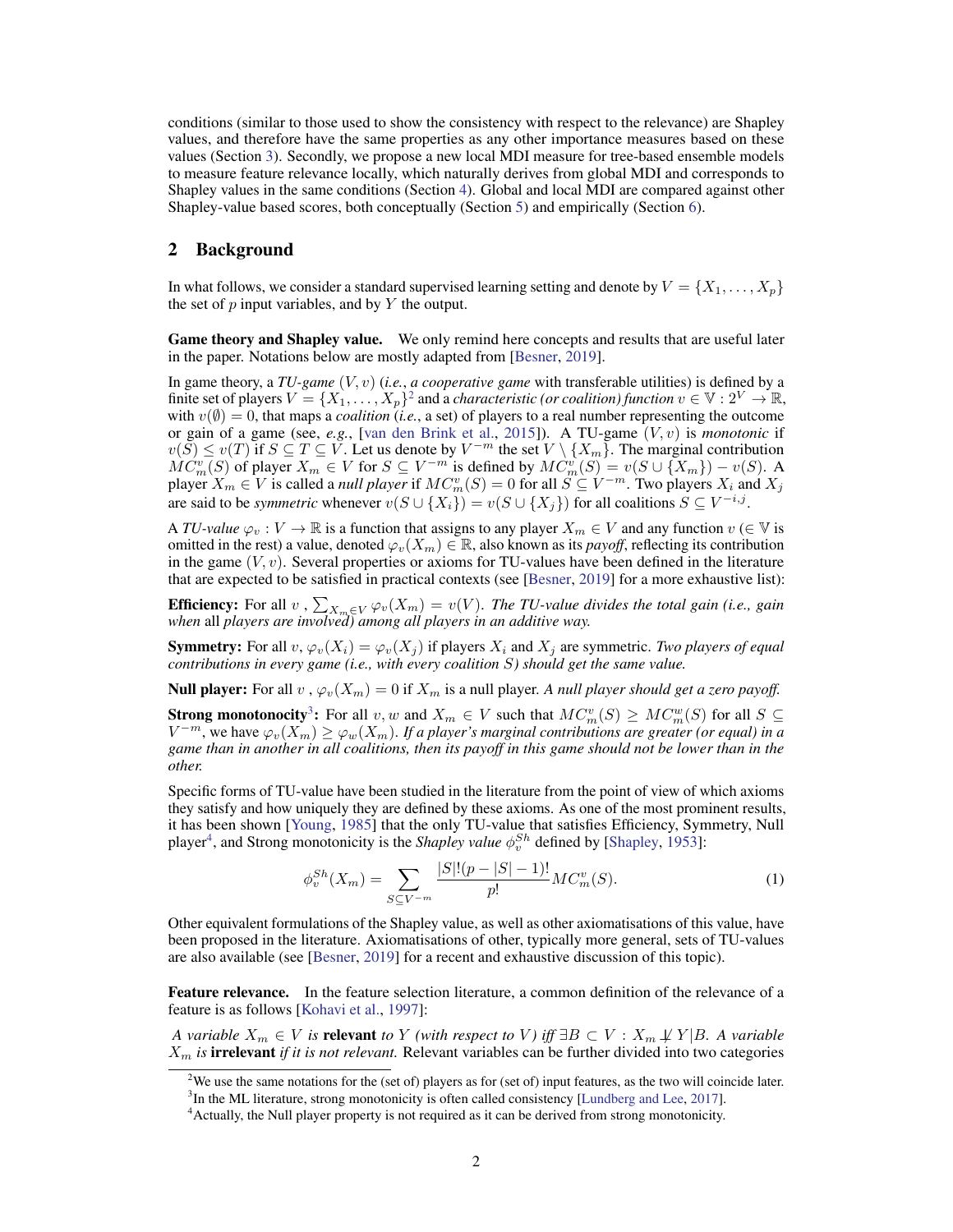conditions (similar to those used to show the consistency with respect to the relevance) are Shapley values, and therefore have the same properties as any other importance measures based on these values (Section [3\)](#page-3-0). Secondly, we propose a new local MDI measure for tree-based ensemble models to measure feature relevance locally, which naturally derives from global MDI and corresponds to Shapley values in the same conditions (Section [4\)](#page-4-0). Global and local MDI are compared against other Shapley-value based scores, both conceptually (Section [5\)](#page-6-0) and empirically (Section [6\)](#page-8-0).

## 2 Background

In what follows, we consider a standard supervised learning setting and denote by  $V = \{X_1, \ldots, X_p\}$ the set of  $p$  input variables, and by  $Y$  the output.

Game theory and Shapley value. We only remind here concepts and results that are useful later in the paper. Notations below are mostly adapted from [\[Besner,](#page-9-6) [2019\]](#page-9-6).

In game theory, a *TU-game* (V, v) (*i.e.*, *a cooperative game* with transferable utilities) is defined by a finite set of players  $V = \{X_1, \ldots, X_p\}^2$  $V = \{X_1, \ldots, X_p\}^2$  and a *characteristic (or coalition) function*  $v \in V : 2^V \to \mathbb{R}$ , with  $v(\emptyset) = 0$ , that maps a *coalition* (*i.e.*, a set) of players to a real number representing the outcome or gain of a game (see, *e.g.*, [\[van den Brink et al.,](#page-10-9) [2015\]](#page-10-9)). A TU-game (V, v) is *monotonic* if  $v(S) \le v(T)$  if  $S \subseteq T \subseteq V$ . Let us denote by  $V^{-m}$  the set  $V \setminus \{X_m\}$ . The marginal contribution  $\widetilde{MC}_m^v(S)$  of player  $X_m \in V$  for  $S \subseteq V^{-m}$  is defined by  $\widetilde{MC}_m^v(S) = v(S \cup \{X_m\}) - v(S)$ . A player  $X_m \in V$  is called a *null player* if  $MC_m^v(S) = 0$  for all  $S \subseteq V^{-m}$ . Two players  $X_i$  and  $X_j$ are said to be *symmetric* whenever  $v(S \cup \{X_i\}) = v(S \cup \{X_j\})$  for all coalitions  $S \subseteq V^{-i,j}$ .

A *TU-value*  $\varphi_v : V \to \mathbb{R}$  is a function that assigns to any player  $X_m \in V$  and any function  $v \in V$  is omitted in the rest) a value, denoted  $\varphi_v(X_m) \in \mathbb{R}$ , also known as its *payoff*, reflecting its contribution in the game  $(V, v)$ . Several properties or axioms for TU-values have been defined in the literature that are expected to be satisfied in practical contexts (see [\[Besner,](#page-9-6) [2019\]](#page-9-6) for a more exhaustive list):

**Efficiency:** For all  $v$  ,  $\sum_{X_m \in V} \varphi_v(X_m) = v(V)$ . *The TU-value divides the total gain (i.e., gain*) *when* all *players are involved) among all players in an additive way.*

**Symmetry:** For all v,  $\varphi_v(X_i) = \varphi_v(X_i)$  if players  $X_i$  and  $X_j$  are symmetric. *Two players of equal contributions in every game (i.e., with every coalition* S*) should get the same value.*

**Null player:** For all  $v$ ,  $\varphi_v(X_m) = 0$  if  $X_m$  is a null player. A null player should get a zero payoff.

**Strong monotonocity**<sup>[3](#page-1-1)</sup>: For all v, w and  $X_m \in V$  such that  $MC_m^v(S) \geq MC_m^w(S)$  for all  $S \subseteq$  $V^{-m}$ , we have  $\varphi_v(X_m) \ge \varphi_w(X_m)$ . If a player's marginal contributions are greater (or equal) in a *game than in another in all coalitions, then its payoff in this game should not be lower than in the other.*

Specific forms of TU-value have been studied in the literature from the point of view of which axioms they satisfy and how uniquely they are defined by these axioms. As one of the most prominent results, it has been shown [\[Young,](#page-10-10) [1985\]](#page-10-10) that the only TU-value that satisfies Efficiency, Symmetry, Null player<sup>[4](#page-1-2)</sup>, and Strong monotonicity is the *Shapley value*  $\phi_v^{Sh}$  defined by [\[Shapley,](#page-10-11) [1953\]](#page-10-11):

<span id="page-1-4"></span>
$$
\phi_v^{Sh}(X_m) = \sum_{S \subseteq V^{-m}} \frac{|S|!(p-|S|-1)!}{p!} MC_m^v(S). \tag{1}
$$

Other equivalent formulations of the Shapley value, as well as other axiomatisations of this value, have been proposed in the literature. Axiomatisations of other, typically more general, sets of TU-values are also available (see [\[Besner,](#page-9-6) [2019\]](#page-9-6) for a recent and exhaustive discussion of this topic).

<span id="page-1-3"></span>Feature relevance. In the feature selection literature, a common definition of the relevance of a feature is as follows [\[Kohavi et al.,](#page-10-12) [1997\]](#page-10-12):

*A variable*  $X_m \in V$  *is relevant to* Y *(with respect to* V) iff  $\exists B \subset V : X_m \not\perp Y | B$ . A variable  $X<sub>m</sub>$  *is* irrelevant *if it is not relevant*. Relevant variables can be further divided into two categories

<span id="page-1-0"></span><sup>&</sup>lt;sup>2</sup>We use the same notations for the (set of) players as for (set of) input features, as the two will coincide later.

<span id="page-1-1"></span> $3$ In the ML literature, strong monotonicity is often called consistency [\[Lundberg and Lee,](#page-10-13) [2017\]](#page-10-13).

<span id="page-1-2"></span><sup>&</sup>lt;sup>4</sup> Actually, the Null player property is not required as it can be derived from strong monotonicity.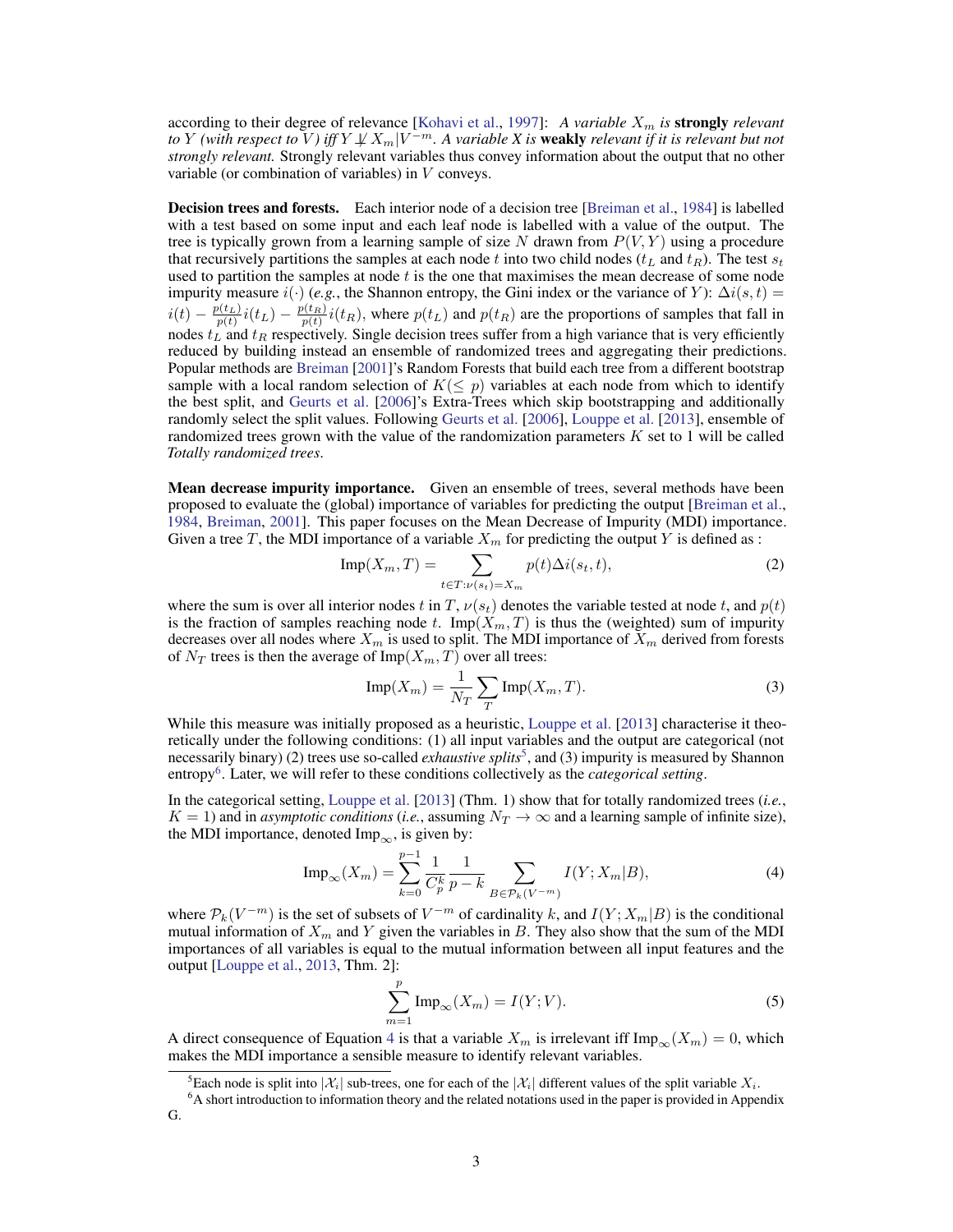according to their degree of relevance [\[Kohavi et al.,](#page-10-12) [1997\]](#page-10-12): *A variable X<sub>m</sub> is* **strongly** *relevant* to  $Y$  *(with respect to*  $\bar{V}$ *) iff*  $Y\!\not\!\perp\!\!\!\perp X_m|V^{-m}.$  A variable  $X$  is **weakly** relevant if it is relevant but not *strongly relevant.* Strongly relevant variables thus convey information about the output that no other variable (or combination of variables) in V conveys.

**Decision trees and forests.** Each interior node of a decision tree [\[Breiman et al.,](#page-9-7) [1984\]](#page-9-7) is labelled with a test based on some input and each leaf node is labelled with a value of the output. The tree is typically grown from a learning sample of size N drawn from  $P(V, Y)$  using a procedure that recursively partitions the samples at each node t into two child nodes ( $t_L$  and  $t_R$ ). The test  $s_t$ used to partition the samples at node  $t$  is the one that maximises the mean decrease of some node impurity measure  $i(.)$  (*e.g.*, the Shannon entropy, the Gini index or the variance of Y):  $\Delta i(s, t)$  =  $i(t) - \frac{p(t_L)}{p(t)}i(t_L) - \frac{p(t_R)}{p(t)}i(t_R)$ , where  $p(t_L)$  and  $p(t_R)$  are the proportions of samples that fall in nodes  $t_L$  and  $t_R$  respectively. Single decision trees suffer from a high variance that is very efficiently reduced by building instead an ensemble of randomized trees and aggregating their predictions. Popular methods are [Breiman](#page-9-0) [\[2001\]](#page-9-0)'s Random Forests that build each tree from a different bootstrap sample with a local random selection of  $K(\leq p)$  variables at each node from which to identify the best split, and [Geurts et al.](#page-9-8) [\[2006\]](#page-9-8)'s Extra-Trees which skip bootstrapping and additionally randomly select the split values. Following [Geurts et al.](#page-9-8) [\[2006\]](#page-9-8), [Louppe et al.](#page-10-1) [\[2013\]](#page-10-1), ensemble of randomized trees grown with the value of the randomization parameters  $K$  set to 1 will be called *Totally randomized trees*.

**Mean decrease impurity importance.** Given an ensemble of trees, several methods have been proposed to evaluate the (global) importance of variables for predicting the output [\[Breiman et al.,](#page-9-7) [1984,](#page-9-7) [Breiman,](#page-9-0) [2001\]](#page-9-0). This paper focuses on the Mean Decrease of Impurity (MDI) importance. Given a tree T, the MDI importance of a variable  $X_m$  for predicting the output Y is defined as :

$$
\text{Imp}(X_m, T) = \sum_{t \in T: \nu(s_t) = X_m} p(t) \Delta i(s_t, t), \tag{2}
$$

where the sum is over all interior nodes t in T,  $\nu(s_t)$  denotes the variable tested at node t, and  $p(t)$ is the fraction of samples reaching node t.  $\text{Imp}(X_m, T)$  is thus the (weighted) sum of impurity decreases over all nodes where  $X_m$  is used to split. The MDI importance of  $X_m$  derived from forests of  $N_T$  trees is then the average of Imp( $X_m$ , T) over all trees:

<span id="page-2-4"></span>
$$
\text{Imp}(X_m) = \frac{1}{N_T} \sum_{T} \text{Imp}(X_m, T). \tag{3}
$$

While this measure was initially proposed as a heuristic, [Louppe et al.](#page-10-1) [\[2013\]](#page-10-1) characterise it theoretically under the following conditions: (1) all input variables and the output are categorical (not necessarily binary) (2) trees use so-called *exhaustive splits*<sup>[5](#page-2-0)</sup>, and (3) impurity is measured by Shannon entropy[6](#page-2-1) . Later, we will refer to these conditions collectively as the *categorical setting*.

In the categorical setting, [Louppe et al.](#page-10-1) [\[2013\]](#page-10-1) (Thm. 1) show that for totally randomized trees (*i.e.*,  $K = 1$ ) and in *asymptotic conditions* (*i.e.*, assuming  $N_T \to \infty$  and a learning sample of infinite size), the MDI importance, denoted Imp<sub>∞</sub>, is given by:

<span id="page-2-2"></span>
$$
\text{Imp}_{\infty}(X_m) = \sum_{k=0}^{p-1} \frac{1}{C_p^k} \frac{1}{p-k} \sum_{B \in \mathcal{P}_k(V^{-m})} I(Y; X_m | B), \tag{4}
$$

where  $\mathcal{P}_k(V^{-m})$  is the set of subsets of  $V^{-m}$  of cardinality k, and  $I(Y;X_m|B)$  is the conditional mutual information of  $X_m$  and Y given the variables in B. They also show that the sum of the MDI importances of all variables is equal to the mutual information between all input features and the output [\[Louppe et al.,](#page-10-1) [2013,](#page-10-1) Thm. 2]:

<span id="page-2-3"></span>
$$
\sum_{m=1}^{p} \operatorname{Imp}_{\infty}(X_m) = I(Y;V). \tag{5}
$$

A direct consequence of Equation [4](#page-2-2) is that a variable  $X_m$  is irrelevant iff  $\text{Imp}_{\infty}(X_m) = 0$ , which makes the MDI importance a sensible measure to identify relevant variables.

<span id="page-2-1"></span><span id="page-2-0"></span><sup>&</sup>lt;sup>5</sup>Each node is split into  $|\mathcal{X}_i|$  sub-trees, one for each of the  $|\mathcal{X}_i|$  different values of the split variable  $X_i$ .

<sup>6</sup>A short introduction to information theory and the related notations used in the paper is provided in Appendix G.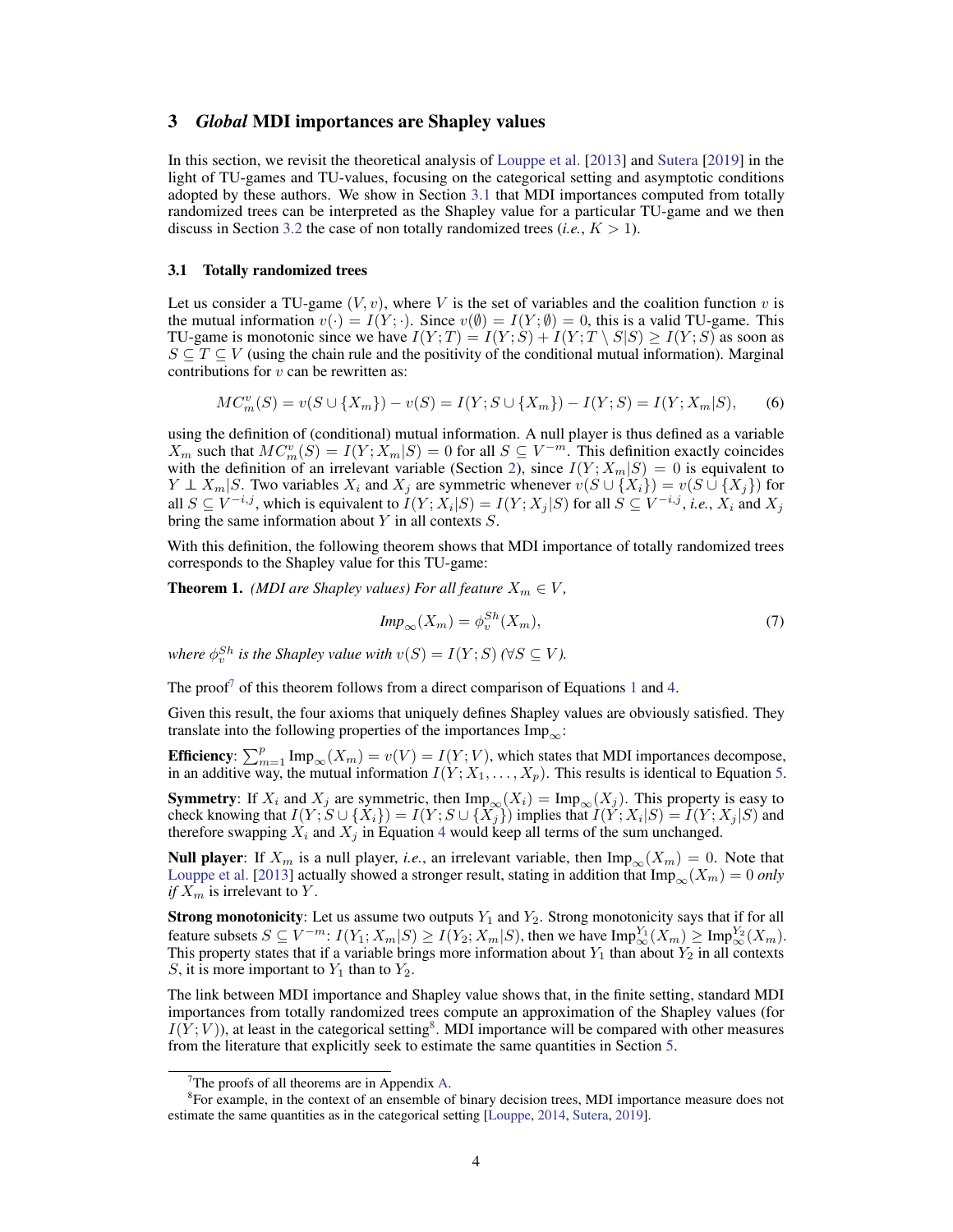## <span id="page-3-0"></span>3 *Global* MDI importances are Shapley values

In this section, we revisit the theoretical analysis of [Louppe et al.](#page-10-1) [\[2013\]](#page-10-1) and [Sutera](#page-10-5) [\[2019\]](#page-10-5) in the light of TU-games and TU-values, focusing on the categorical setting and asymptotic conditions adopted by these authors. We show in Section [3.1](#page-3-1) that MDI importances computed from totally randomized trees can be interpreted as the Shapley value for a particular TU-game and we then discuss in Section [3.2](#page-4-1) the case of non totally randomized trees  $(i.e., K > 1)$ .

#### <span id="page-3-1"></span>3.1 Totally randomized trees

Let us consider a TU-game  $(V, v)$ , where V is the set of variables and the coalition function v is the mutual information  $v(\cdot) = I(Y; \cdot)$ . Since  $v(\emptyset) = I(Y; \emptyset) = 0$ , this is a valid TU-game. This TU-game is monotonic since we have  $I(Y;T) = I(Y;S) + I(Y;T \setminus S|S) \geq I(Y;S)$  as soon as  $S \subseteq T \subseteq V$  (using the chain rule and the positivity of the conditional mutual information). Marginal contributions for  $v$  can be rewritten as:

$$
MC_m^v(S) = v(S \cup \{X_m\}) - v(S) = I(Y; S \cup \{X_m\}) - I(Y; S) = I(Y; X_m | S),
$$
 (6)

using the definition of (conditional) mutual information. A null player is thus defined as a variable  $X_m$  such that  $MC_m^v(S) = I(Y; X_m | S) = 0$  for all  $S \subseteq V^{-m}$ . This definition exactly coincides with the definition of an irrelevant variable (Section [2\)](#page-1-3), since  $I(Y; X_m|S) = 0$  is equivalent to  $Y \perp X_m | S$ . Two variables  $X_i$  and  $X_j$  are symmetric whenever  $v(S \cup \{X_i\}) = v(S \cup \{X_j\})$  for all  $S \subseteq V^{-i,j}$ , which is equivalent to  $I(Y; X_i|S) = I(Y; X_j|S)$  for all  $S \subseteq V^{-i,j}$ , *i.e.*,  $X_i$  and  $X_j$ bring the same information about Y in all contexts S.

With this definition, the following theorem shows that MDI importance of totally randomized trees corresponds to the Shapley value for this TU-game:

<span id="page-3-4"></span>**Theorem 1.** *(MDI are Shapley values) For all feature*  $X_m \in V$ *,* 

$$
Imp_{\infty}(X_m) = \phi_v^{Sh}(X_m), \tag{7}
$$

*where*  $\phi_v^{Sh}$  *is the Shapley value with*  $v(S) = I(Y;S)$  *(*∀*S*  $\subseteq$  *V)*.

The proof<sup>[7](#page-3-2)</sup> of this theorem follows from a direct comparison of Equations [1](#page-1-4) and [4.](#page-2-2)

Given this result, the four axioms that uniquely defines Shapley values are obviously satisfied. They translate into the following properties of the importances  $\text{Imp}_{\infty}$ :

**Efficiency**:  $\sum_{m=1}^{p} \text{Imp}_{\infty}(X_m) = v(V) = I(Y; V)$ , which states that MDI importances decompose, in an additive way, the mutual information  $I(Y; X_1, \ldots, X_p)$ . This results is identical to Equation [5.](#page-2-3)

**Symmetry:** If  $X_i$  and  $X_j$  are symmetric, then  $\text{Imp}_{\infty}(X_i) = \text{Imp}_{\infty}(X_j)$ . This property is easy to check knowing that  $I(Y;S \cup \{X_i\}) = I(Y;S \cup \{X_j\})$  implies that  $I(Y;X_i|S) = I(Y;X_j|S)$  and therefore swapping  $X_i$  and  $X_j$  in Equation [4](#page-2-2) would keep all terms of the sum unchanged.

**Null player**: If  $X_m$  is a null player, *i.e.*, an irrelevant variable, then  $\text{Imp}_{\infty}(X_m) = 0$ . Note that [Louppe et al.](#page-10-1) [\[2013\]](#page-10-1) actually showed a stronger result, stating in addition that  $\text{Imp}_{\infty}(X_m) = 0$  *only if*  $X_m$  is irrelevant to Y.

**Strong monotonicity**: Let us assume two outputs  $Y_1$  and  $Y_2$ . Strong monotonicity says that if for all feature subsets  $S \subseteq V^{-m}$ :  $I(Y_1; X_m | S) \ge I(Y_2; X_m | S)$ , then we have  $\text{Imp}^{Y_1}_{\infty}(X_m) \ge \text{Imp}^{Y_2}_{\infty}(X_m)$ . This property states that if a variable brings more information about  $Y_1$  than about  $Y_2$  in all contexts S, it is more important to  $Y_1$  than to  $Y_2$ .

The link between MDI importance and Shapley value shows that, in the finite setting, standard MDI importances from totally randomized trees compute an approximation of the Shapley values (for  $I(Y;V)$ ), at least in the categorical setting<sup>[8](#page-3-3)</sup>. MDI importance will be compared with other measures from the literature that explicitly seek to estimate the same quantities in Section [5.](#page-6-0)

<span id="page-3-3"></span><span id="page-3-2"></span> $7$ The proofs of all theorems are in Appendix [A.](#page-11-0)

<sup>8</sup> For example, in the context of an ensemble of binary decision trees, MDI importance measure does not estimate the same quantities as in the categorical setting [\[Louppe,](#page-10-2) [2014,](#page-10-2) [Sutera,](#page-10-5) [2019\]](#page-10-5).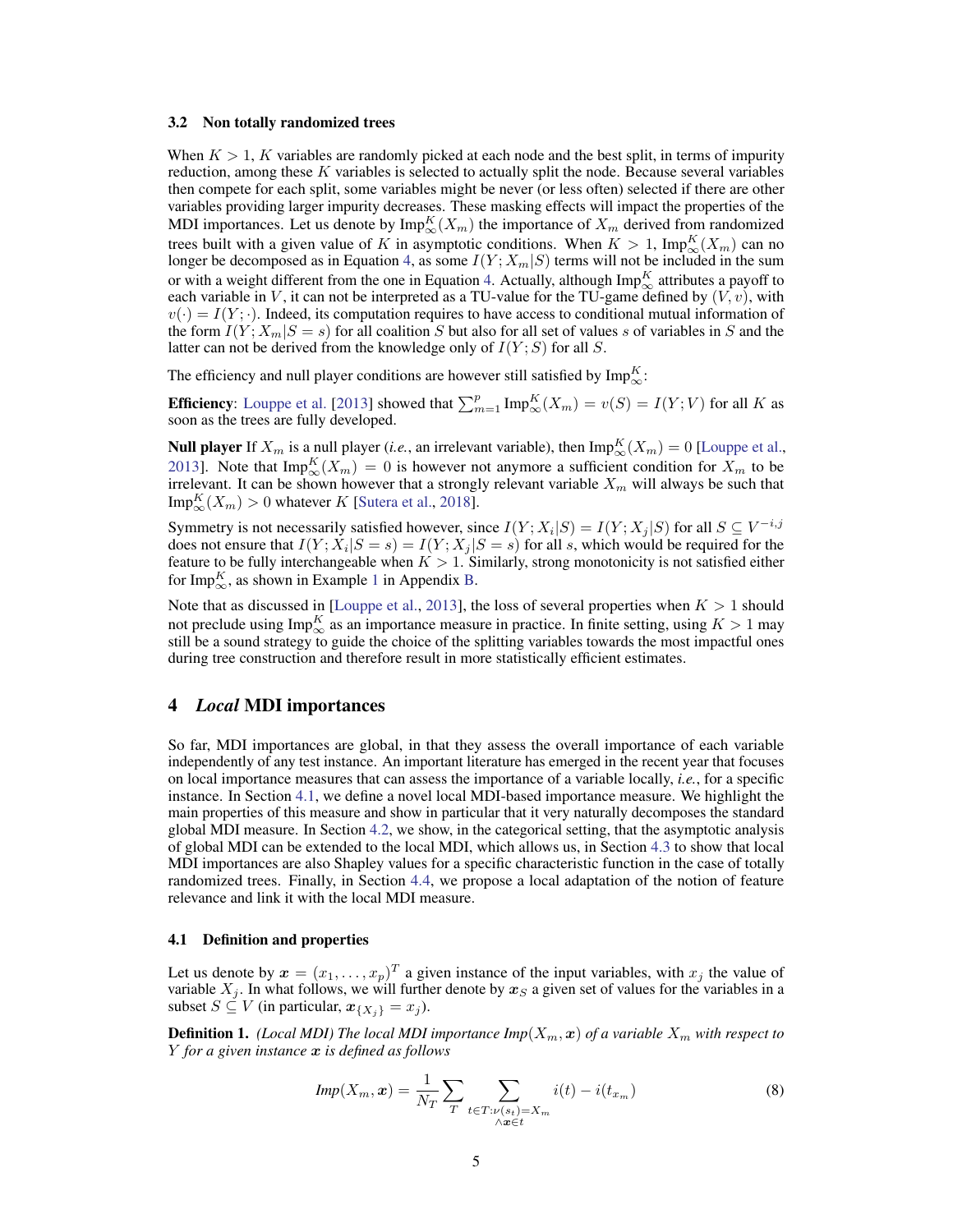#### <span id="page-4-1"></span>3.2 Non totally randomized trees

When  $K > 1$ , K variables are randomly picked at each node and the best split, in terms of impurity reduction, among these  $K$  variables is selected to actually split the node. Because several variables then compete for each split, some variables might be never (or less often) selected if there are other variables providing larger impurity decreases. These masking effects will impact the properties of the MDI importances. Let us denote by  $\text{Imp}^K_{\infty}(X_m)$  the importance of  $X_m$  derived from randomized trees built with a given value of K in asymptotic conditions. When  $K > 1$ ,  $\text{Imp}_\infty^K(X_m)$  can no longer be decomposed as in Equation [4,](#page-2-2) as some  $I(Y; X_m | S)$  terms will not be included in the sum or with a weight different from the one in Equation [4.](#page-2-2) Actually, although  $\mathrm{Imp}^K_\infty$  attributes a payoff to each variable in V, it can not be interpreted as a TU-value for the TU-game defined by  $(V, v)$ , with  $v(\cdot) = I(Y; \cdot)$ . Indeed, its computation requires to have access to conditional mutual information of the form  $I(Y; X_m | S = s)$  for all coalition S but also for all set of values s of variables in S and the latter can not be derived from the knowledge only of  $I(Y; S)$  for all S.

The efficiency and null player conditions are however still satisfied by  $\text{Imp}_\infty^K$ :

**Efficiency**: [Louppe et al.](#page-10-1) [\[2013\]](#page-10-1) showed that  $\sum_{m=1}^{p} \text{Imp}_\infty^K(X_m) = v(S) = I(Y;V)$  for all K as soon as the trees are fully developed.

**Null player** If  $X_m$  is a null player (*i.e.*, an irrelevant variable), then  $\text{Imp}_\infty^K(X_m) = 0$  [\[Louppe et al.,](#page-10-1) [2013\]](#page-10-1). Note that  $\text{Imp}^K_{\infty}(X_m) = 0$  is however not anymore a sufficient condition for  $X_m$  to be irrelevant. It can be shown however that a strongly relevant variable  $X_m$  will always be such that  $\mathrm{Imp}^K_\infty(X_m) > 0$  whatever K [\[Sutera et al.,](#page-10-3) [2018\]](#page-10-3).

Symmetry is not necessarily satisfied however, since  $I(Y; X_i|S) = I(Y; X_j|S)$  for all  $S \subseteq V^{-i,j}$ does not ensure that  $I(Y; X_i | S = s) = I(Y; X_j | S = s)$  for all s, which would be required for the feature to be fully interchangeable when  $K > 1$ . Similarly, strong monotonicity is not satisfied either for Imp $_{\infty}^{K}$ , as shown in Example [1](#page-12-0) in Appendix [B.](#page-12-1)

Note that as discussed in [\[Louppe et al.,](#page-10-1) [2013\]](#page-10-1), the loss of several properties when  $K > 1$  should not preclude using  $\text{Imp}_\infty^K$  as an importance measure in practice. In finite setting, using  $K > 1$  may still be a sound strategy to guide the choice of the splitting variables towards the most impactful ones during tree construction and therefore result in more statistically efficient estimates.

## <span id="page-4-0"></span>4 *Local* MDI importances

So far, MDI importances are global, in that they assess the overall importance of each variable independently of any test instance. An important literature has emerged in the recent year that focuses on local importance measures that can assess the importance of a variable locally, *i.e.*, for a specific instance. In Section [4.1,](#page-4-2) we define a novel local MDI-based importance measure. We highlight the main properties of this measure and show in particular that it very naturally decomposes the standard global MDI measure. In Section [4.2,](#page-5-0) we show, in the categorical setting, that the asymptotic analysis of global MDI can be extended to the local MDI, which allows us, in Section [4.3](#page-5-1) to show that local MDI importances are also Shapley values for a specific characteristic function in the case of totally randomized trees. Finally, in Section [4.4,](#page-6-1) we propose a local adaptation of the notion of feature relevance and link it with the local MDI measure.

#### <span id="page-4-2"></span>4.1 Definition and properties

Let us denote by  $x = (x_1, \dots, x_p)^T$  a given instance of the input variables, with  $x_j$  the value of variable  $X_j$ . In what follows, we will further denote by  $x_S$  a given set of values for the variables in a subset  $S \subseteq V$  (in particular,  $x_{\{X_i\}} = x_j$ ).

**Definition 1.** *(Local MDI) The local MDI importance*  $Imp(X_m, x)$  *of a variable*  $X_m$  *with respect to* Y *for a given instance* x *is defined as follows*

<span id="page-4-3"></span>
$$
Imp(X_m, x) = \frac{1}{N_T} \sum_{T} \sum_{\substack{t \in T: \nu(s_t) = X_m \\ \wedge x \in t}} i(t) - i(t_{x_m})
$$
\n(8)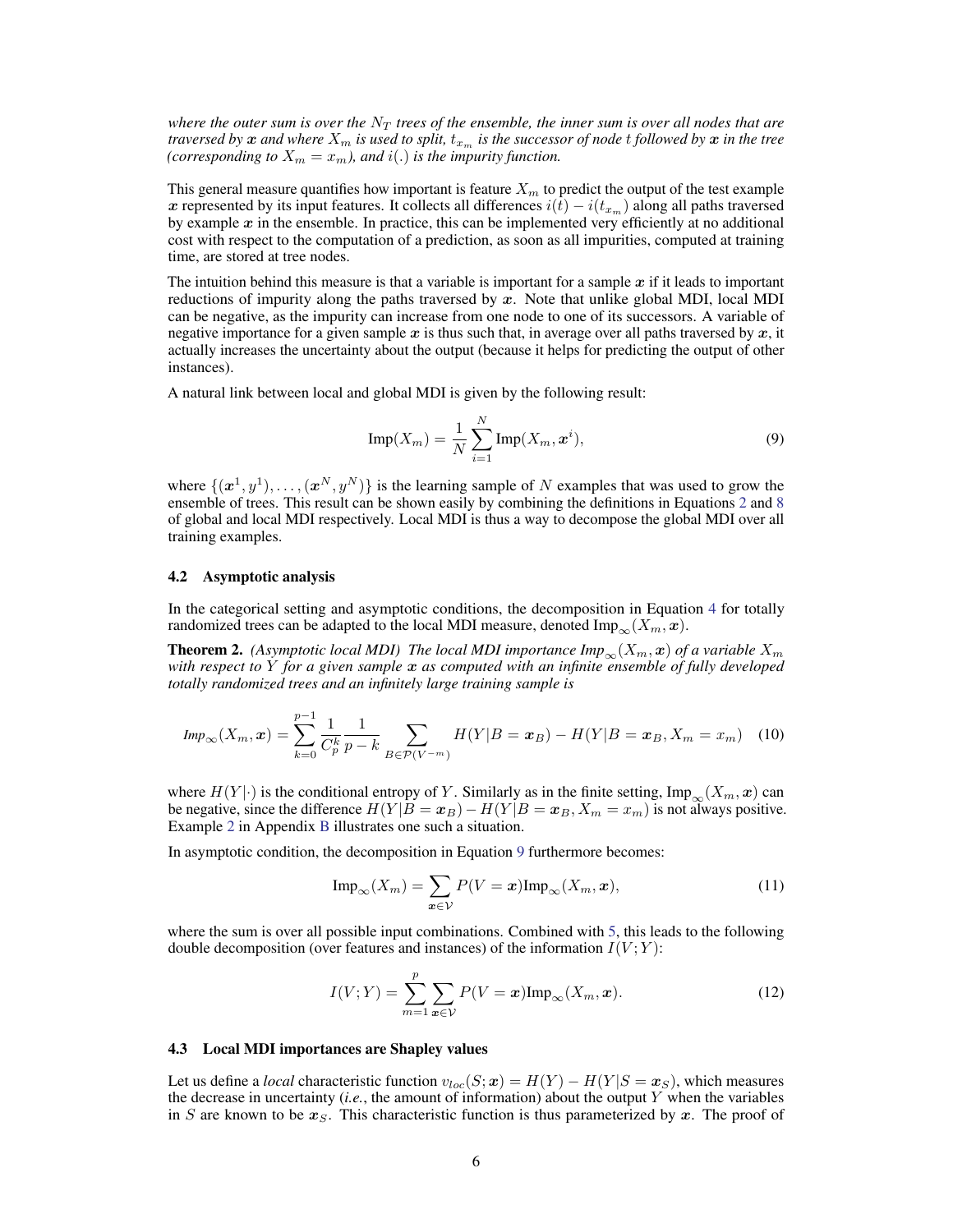*where the outer sum is over the*  $N<sub>T</sub>$  *trees of the ensemble, the inner sum is over all nodes that are traversed by*  $x$  *and where*  $X_m$  *is used to split,*  $t_{x_m}$  *is the successor of node t followed by*  $x$  *in the tree (corresponding to*  $X_m = x_m$ *), and*  $i(.)$  *is the impurity function.* 

This general measure quantifies how important is feature  $X_m$  to predict the output of the test example x represented by its input features. It collects all differences  $i(t) - i(t_{x_m})$  along all paths traversed by example  $x$  in the ensemble. In practice, this can be implemented very efficiently at no additional cost with respect to the computation of a prediction, as soon as all impurities, computed at training time, are stored at tree nodes.

The intuition behind this measure is that a variable is important for a sample  $x$  if it leads to important reductions of impurity along the paths traversed by  $x$ . Note that unlike global MDI, local MDI can be negative, as the impurity can increase from one node to one of its successors. A variable of negative importance for a given sample  $x$  is thus such that, in average over all paths traversed by  $x$ , it actually increases the uncertainty about the output (because it helps for predicting the output of other instances).

A natural link between local and global MDI is given by the following result:

<span id="page-5-2"></span>
$$
\text{Imp}(X_m) = \frac{1}{N} \sum_{i=1}^{N} \text{Imp}(X_m, \boldsymbol{x}^i),\tag{9}
$$

where  $\{(\mathbf{x}^1, y^1), \ldots, (\mathbf{x}^N, y^N)\}\$ is the learning sample of N examples that was used to grow the ensemble of trees. This result can be shown easily by combining the definitions in Equations [2](#page-2-4) and [8](#page-4-3) of global and local MDI respectively. Local MDI is thus a way to decompose the global MDI over all training examples.

#### <span id="page-5-0"></span>4.2 Asymptotic analysis

In the categorical setting and asymptotic conditions, the decomposition in Equation [4](#page-2-2) for totally randomized trees can be adapted to the local MDI measure, denoted Imp<sub>∞</sub> $(X_m, x)$ .

<span id="page-5-5"></span>**Theorem 2.** *(Asymptotic local MDI) The local MDI importance*  $Imp_{\infty}(X_m, x)$  *of a variable*  $X_m$ *with respect to* Y *for a given sample* x *as computed with an infinite ensemble of fully developed totally randomized trees and an infinitely large training sample is*

$$
Imp_{\infty}(X_m, \mathbf{x}) = \sum_{k=0}^{p-1} \frac{1}{C_p^k} \frac{1}{p-k} \sum_{B \in \mathcal{P}(V^{-m})} H(Y|B = \mathbf{x}_B) - H(Y|B = \mathbf{x}_B, X_m = x_m)
$$
(10)

where  $H(Y \mid \cdot)$  is the conditional entropy of Y. Similarly as in the finite setting, Imp<sub>∞</sub>( $X_m$ , x) can be negative, since the difference  $H(Y|B = x_B) - H(Y|B = x_B, X_m = x_m)$  is not always positive. Example [2](#page-13-0) in Appendix [B](#page-12-1) illustrates one such a situation.

In asymptotic condition, the decomposition in Equation [9](#page-5-2) furthermore becomes:

<span id="page-5-4"></span><span id="page-5-3"></span>
$$
\text{Imp}_{\infty}(X_m) = \sum_{\mathbf{x} \in \mathcal{V}} P(V = \mathbf{x}) \text{Imp}_{\infty}(X_m, \mathbf{x}), \tag{11}
$$

where the sum is over all possible input combinations. Combined with [5,](#page-2-3) this leads to the following double decomposition (over features and instances) of the information  $I(V;Y)$ :

$$
I(V;Y) = \sum_{m=1}^{p} \sum_{\boldsymbol{x} \in V} P(V=\boldsymbol{x}) \text{Imp}_{\infty}(X_m, \boldsymbol{x}). \tag{12}
$$

#### <span id="page-5-1"></span>4.3 Local MDI importances are Shapley values

Let us define a *local* characteristic function  $v_{loc}(S; \mathbf{x}) = H(Y) - H(Y|S = \mathbf{x}_S)$ , which measures the decrease in uncertainty  $(i.e.,$  the amount of information) about the output Y when the variables in S are known to be  $x<sub>S</sub>$ . This characteristic function is thus parameterized by x. The proof of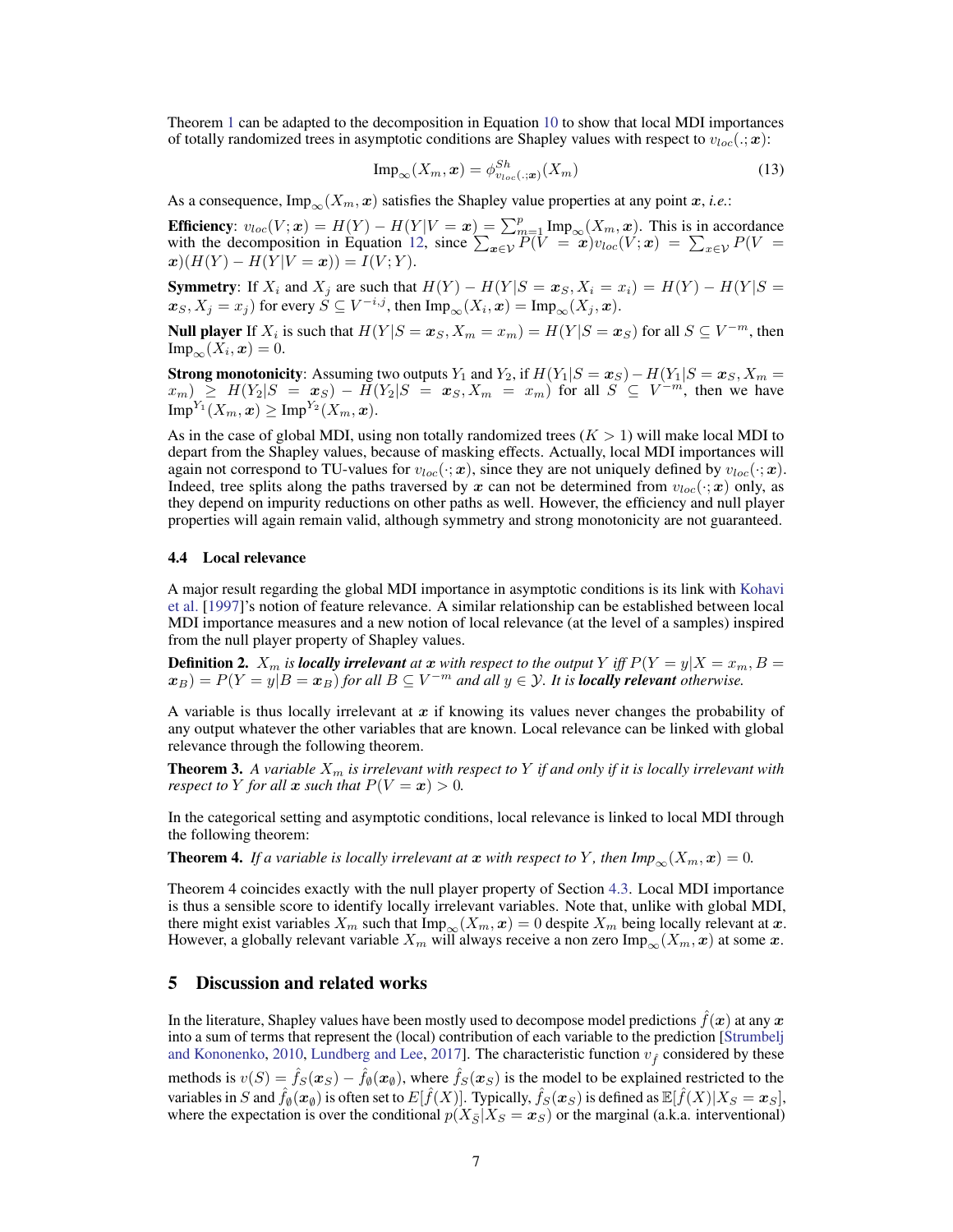Theorem [1](#page-3-4) can be adapted to the decomposition in Equation [10](#page-5-3) to show that local MDI importances of totally randomized trees in asymptotic conditions are Shapley values with respect to  $v_{loc}(.; x)$ :

$$
\text{Imp}_{\infty}(X_m, \boldsymbol{x}) = \phi_{v_{loc}(.; \boldsymbol{x})}^{Sh}(X_m)
$$
\n(13)

As a consequence,  $\text{Imp}_{\infty}(X_m, x)$  satisfies the Shapley value properties at any point x, *i.e.*:

**Efficiency**:  $v_{loc}(V; \mathbf{x}) = H(Y) - H(Y|V = \mathbf{x}) = \sum_{m=1}^{p} \text{Imp}_{\infty}(X_m, \mathbf{x})$ . This is in accordance with the decomposition in Equation [12,](#page-5-4) since  $\sum_{x \in \mathcal{V}} P(V = x) v_{loc}(V; x) = \sum_{x \in \mathcal{V}} P(V = x)$  $x)(H(Y) - H(Y|V = x)) = I(V;Y).$ 

**Symmetry:** If  $X_i$  and  $X_j$  are such that  $H(Y) - H(Y|S = x_S, X_i = x_i) = H(Y) - H(Y|S = x_i)$  $\bm{x}_S, X_j = x_j$ ) for every  $\hat{S} \subseteq V^{-i,j}$ , then  $\text{Imp}_\infty(X_i, \bm{x}) = \text{Imp}_\infty(X_j, \bm{x})$ .

**Null player** If  $X_i$  is such that  $H(Y|S=x_S, X_m=x_m) = H(Y|S=x_S)$  for all  $S \subseteq V^{-m}$ , then  $\text{Imp}_{\infty}(X_i, \boldsymbol{x}) = 0.$ 

**Strong monotonicity**: Assuming two outputs  $Y_1$  and  $Y_2$ , if  $H(Y_1|S=x_S)-H(Y_1|S=x_S, X_m=x_S)$  $x_m$ )  $\geq H(Y_2|S = x_S) - H(Y_2|S = x_S, X_m = x_m)$  for all  $S \subseteq V^{-m}$ , then we have  $\mathrm{Imp}^{Y_1}(X_m, \boldsymbol{x}) \geq \mathrm{Imp}^{Y_2}(X_m, \boldsymbol{x}).$ 

As in the case of global MDI, using non totally randomized trees  $(K > 1)$  will make local MDI to depart from the Shapley values, because of masking effects. Actually, local MDI importances will again not correspond to TU-values for  $v_{loc}(\cdot; x)$ , since they are not uniquely defined by  $v_{loc}(\cdot; x)$ . Indeed, tree splits along the paths traversed by x can not be determined from  $v_{loc}(\cdot; x)$  only, as they depend on impurity reductions on other paths as well. However, the efficiency and null player properties will again remain valid, although symmetry and strong monotonicity are not guaranteed.

#### <span id="page-6-1"></span>4.4 Local relevance

A major result regarding the global MDI importance in asymptotic conditions is its link with [Kohavi](#page-10-12) [et al.](#page-10-12) [\[1997\]](#page-10-12)'s notion of feature relevance. A similar relationship can be established between local MDI importance measures and a new notion of local relevance (at the level of a samples) inspired from the null player property of Shapley values.

<span id="page-6-4"></span>**Definition 2.**  $X_m$  is *locally irrelevant* at  $x$  with respect to the output  $Y$  iff  $P(Y = y | X = x_m, B = y_m)$  $(\mathbf{x}_B) = P(Y = y|B = \mathbf{x}_B)$  *for all*  $B \subseteq V^{-m}$  *and all*  $y \in \mathcal{Y}$ *. It is locally relevant otherwise.* 

A variable is thus locally irrelevant at  $x$  if knowing its values never changes the probability of any output whatever the other variables that are known. Local relevance can be linked with global relevance through the following theorem.

<span id="page-6-2"></span>**Theorem 3.** A variable  $X_m$  is irrelevant with respect to Y if and only if it is locally irrelevant with *respect to Y for all*  $x$  *such that*  $P(V = x) > 0$ *.* 

In the categorical setting and asymptotic conditions, local relevance is linked to local MDI through the following theorem:

<span id="page-6-3"></span>**Theorem 4.** *If a variable is locally irrelevant at*  $x$  *with respect to*  $Y$ *, then*  $Imp_\infty(X_m, x) = 0$ *.* 

Theorem 4 coincides exactly with the null player property of Section [4.3.](#page-5-1) Local MDI importance is thus a sensible score to identify locally irrelevant variables. Note that, unlike with global MDI, there might exist variables  $X_m$  such that  $\text{Imp}_{\infty}(X_m, x) = 0$  despite  $X_m$  being locally relevant at  $x$ . However, a globally relevant variable  $X_m$  will always receive a non zero  $\text{Imp}_{\infty}(X_m, x)$  at some x.

## <span id="page-6-0"></span>5 Discussion and related works

In the literature, Shapley values have been mostly used to decompose model predictions  $\hat{f}(x)$  at any x into a sum of terms that represent the (local) contribution of each variable to the prediction [\[Strumbelj](#page-10-14) [and Kononenko,](#page-10-14) [2010,](#page-10-14) [Lundberg and Lee,](#page-10-13) [2017\]](#page-10-13). The characteristic function  $v_f$  considered by these methods is  $v(S) = \hat{f}_S(x_S) - \hat{f}_\emptyset(x_\emptyset)$ , where  $\hat{f}_S(x_S)$  is the model to be explained restricted to the variables in  $S$  and  $\hat{f}_\emptyset(\bm{x}_\emptyset)$  is often set to  $E[\hat{f}(X)].$  Typically,  $\hat{f}_S(\bm{x}_S)$  is defined as  $\mathbb{E}[\hat{f}(X)|X_S=\bm{x}_S],$ where the expectation is over the conditional  $p(X_{\overline{S}}|X_S = x_S)$  or the marginal (a.k.a. interventional)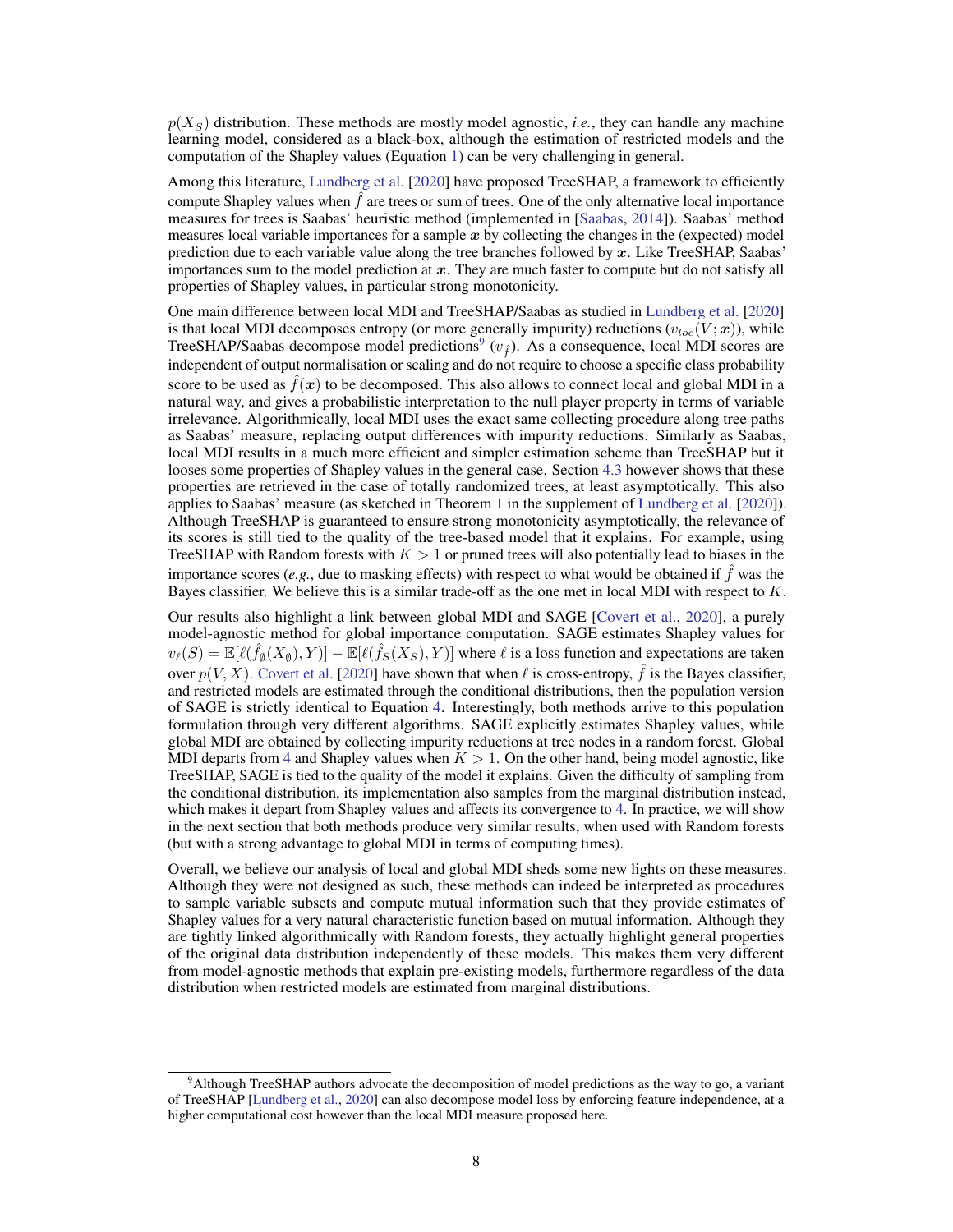$p(X_{\overline{S}})$  distribution. These methods are mostly model agnostic, *i.e.*, they can handle any machine learning model, considered as a black-box, although the estimation of restricted models and the computation of the Shapley values (Equation [1\)](#page-1-4) can be very challenging in general.

Among this literature, [Lundberg et al.](#page-10-8) [\[2020\]](#page-10-8) have proposed TreeSHAP, a framework to efficiently compute Shapley values when  $\hat{f}$  are trees or sum of trees. One of the only alternative local importance measures for trees is Saabas' heuristic method (implemented in [\[Saabas,](#page-10-15) [2014\]](#page-10-15)). Saabas' method measures local variable importances for a sample  $x$  by collecting the changes in the (expected) model prediction due to each variable value along the tree branches followed by  $x$ . Like TreeSHAP, Saabas' importances sum to the model prediction at  $x$ . They are much faster to compute but do not satisfy all properties of Shapley values, in particular strong monotonicity.

One main difference between local MDI and TreeSHAP/Saabas as studied in [Lundberg et al.](#page-10-8) [\[2020\]](#page-10-8) is that local MDI decomposes entropy (or more generally impurity) reductions  $(v_{loc}(V; \mathbf{x}))$ , while TreeSHAP/Saabas decompose model predictions<sup>[9](#page-7-0)</sup> ( $v_f$ ). As a consequence, local MDI scores are independent of output normalisation or scaling and do not require to choose a specific class probability score to be used as  $\hat{f}(x)$  to be decomposed. This also allows to connect local and global MDI in a natural way, and gives a probabilistic interpretation to the null player property in terms of variable irrelevance. Algorithmically, local MDI uses the exact same collecting procedure along tree paths as Saabas' measure, replacing output differences with impurity reductions. Similarly as Saabas, local MDI results in a much more efficient and simpler estimation scheme than TreeSHAP but it looses some properties of Shapley values in the general case. Section [4.3](#page-5-1) however shows that these properties are retrieved in the case of totally randomized trees, at least asymptotically. This also applies to Saabas' measure (as sketched in Theorem 1 in the supplement of [Lundberg et al.](#page-10-8) [\[2020\]](#page-10-8)). Although TreeSHAP is guaranteed to ensure strong monotonicity asymptotically, the relevance of its scores is still tied to the quality of the tree-based model that it explains. For example, using TreeSHAP with Random forests with  $K > 1$  or pruned trees will also potentially lead to biases in the importance scores (*e.g.*, due to masking effects) with respect to what would be obtained if  $\hat{f}$  was the Bayes classifier. We believe this is a similar trade-off as the one met in local MDI with respect to K.

Our results also highlight a link between global MDI and SAGE [\[Covert et al.,](#page-9-9) [2020\]](#page-9-9), a purely model-agnostic method for global importance computation. SAGE estimates Shapley values for  $v_\ell(S) = \mathbb{E}[\ell(\hat{f}_\emptyset(X_\emptyset), Y)] - \mathbb{E}[\ell(\hat{f}_S(X_S), Y)]$  where  $\ell$  is a loss function and expectations are taken over  $p(V, X)$ . [Covert et al.](#page-9-9) [\[2020\]](#page-9-9) have shown that when  $\ell$  is cross-entropy,  $\hat{f}$  is the Bayes classifier, and restricted models are estimated through the conditional distributions, then the population version of SAGE is strictly identical to Equation [4.](#page-2-2) Interestingly, both methods arrive to this population formulation through very different algorithms. SAGE explicitly estimates Shapley values, while global MDI are obtained by collecting impurity reductions at tree nodes in a random forest. Global MDI departs from [4](#page-2-2) and Shapley values when  $K > 1$ . On the other hand, being model agnostic, like TreeSHAP, SAGE is tied to the quality of the model it explains. Given the difficulty of sampling from the conditional distribution, its implementation also samples from the marginal distribution instead, which makes it depart from Shapley values and affects its convergence to [4.](#page-2-2) In practice, we will show in the next section that both methods produce very similar results, when used with Random forests (but with a strong advantage to global MDI in terms of computing times).

Overall, we believe our analysis of local and global MDI sheds some new lights on these measures. Although they were not designed as such, these methods can indeed be interpreted as procedures to sample variable subsets and compute mutual information such that they provide estimates of Shapley values for a very natural characteristic function based on mutual information. Although they are tightly linked algorithmically with Random forests, they actually highlight general properties of the original data distribution independently of these models. This makes them very different from model-agnostic methods that explain pre-existing models, furthermore regardless of the data distribution when restricted models are estimated from marginal distributions.

<span id="page-7-0"></span><sup>&</sup>lt;sup>9</sup>Although TreeSHAP authors advocate the decomposition of model predictions as the way to go, a variant of TreeSHAP [\[Lundberg et al.,](#page-10-8) [2020\]](#page-10-8) can also decompose model loss by enforcing feature independence, at a higher computational cost however than the local MDI measure proposed here.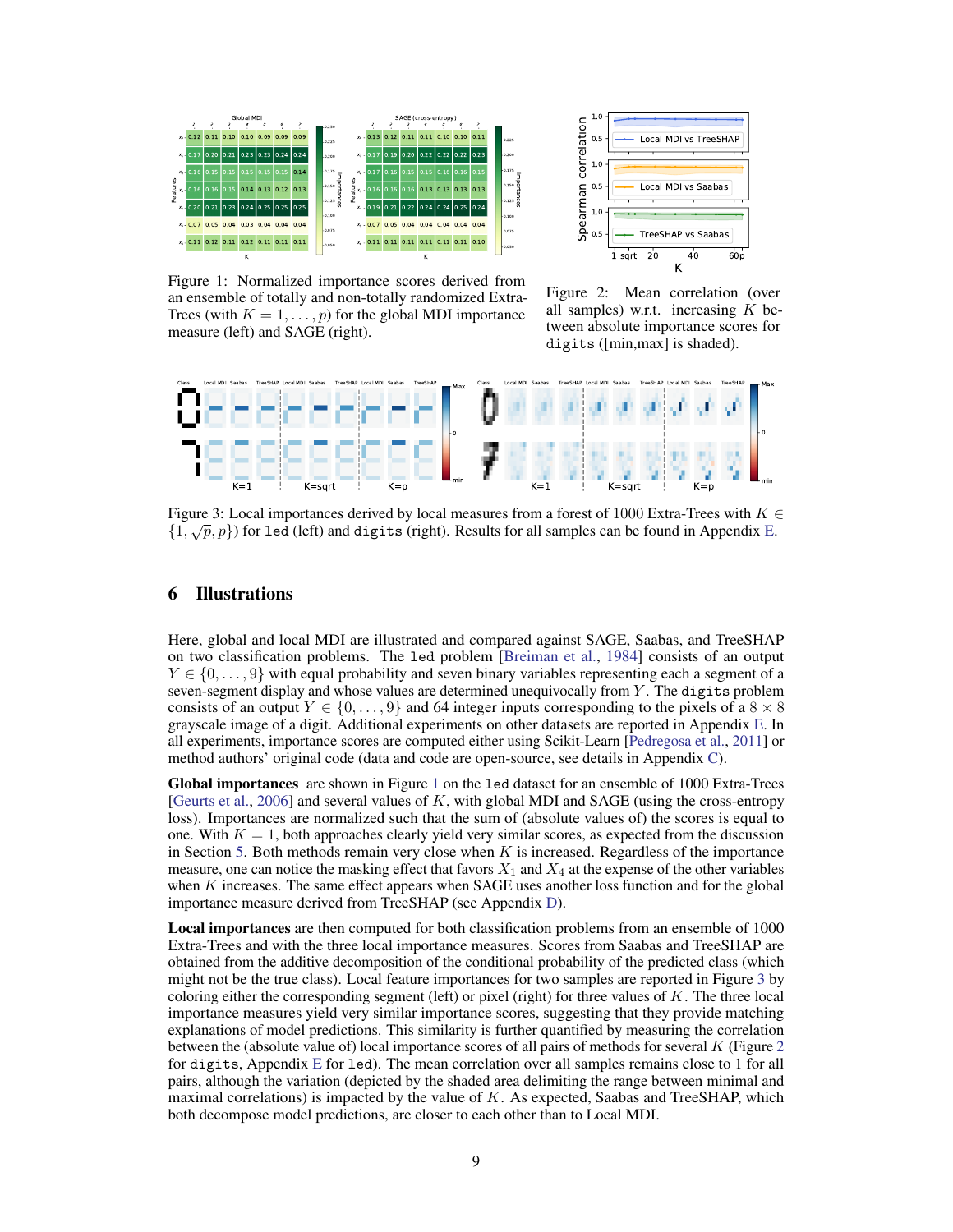<span id="page-8-1"></span>

1.0 correlation Spearman correlation<br>Spearman correlation<br>.s 0.5 Local MDI vs TreeSHAP 1.0 0.5 Local MDI vs Saabas Spearman 1.0 TreeSHAP vs Saabas  $0.5 -$ 1 sqrt 20 40 60p K

Figure 1: Normalized importance scores derived from an ensemble of totally and non-totally randomized Extra-Trees (with  $K = 1, \ldots, p$ ) for the global MDI importance measure (left) and SAGE (right).

Figure 2: Mean correlation (over all samples) w.r.t. increasing  $K$  between absolute importance scores for digits ([min,max] is shaded).

<span id="page-8-2"></span>

Figure 3: Local importances derived by local measures from a forest of 1000 Extra-Trees with  $K \in$ Figure 5. Local importances derived by local measures from a forest of 1000 Extra-frees with  $K \nvert \{1, \sqrt{p}, p\}$  for led (left) and digits (right). Results for all samples can be found in Appendix [E.](#page-14-0)

## <span id="page-8-0"></span>6 Illustrations

Here, global and local MDI are illustrated and compared against SAGE, Saabas, and TreeSHAP on two classification problems. The led problem [\[Breiman et al.,](#page-9-7) [1984\]](#page-9-7) consists of an output  $Y \in \{0, \ldots, 9\}$  with equal probability and seven binary variables representing each a segment of a seven-segment display and whose values are determined unequivocally from Y. The digits problem consists of an output  $Y \in \{0, \ldots, 9\}$  and 64 integer inputs corresponding to the pixels of a  $8 \times 8$ grayscale image of a digit. Additional experiments on other datasets are reported in Appendix [E.](#page-14-0) In all experiments, importance scores are computed either using Scikit-Learn [\[Pedregosa et al.,](#page-10-16) [2011\]](#page-10-16) or method authors' original code (data and code are open-source, see details in Appendix [C\)](#page-13-1).

Global importances are shown in Figure [1](#page-8-1) on the led dataset for an ensemble of 1000 Extra-Trees [\[Geurts et al.,](#page-9-8) [2006\]](#page-9-8) and several values of  $K$ , with global MDI and SAGE (using the cross-entropy loss). Importances are normalized such that the sum of (absolute values of) the scores is equal to one. With  $K = 1$ , both approaches clearly yield very similar scores, as expected from the discussion in Section [5.](#page-6-0) Both methods remain very close when  $K$  is increased. Regardless of the importance measure, one can notice the masking effect that favors  $X_1$  and  $X_4$  at the expense of the other variables when K increases. The same effect appears when SAGE uses another loss function and for the global importance measure derived from TreeSHAP (see Appendix [D\)](#page-14-1).

Local importances are then computed for both classification problems from an ensemble of 1000 Extra-Trees and with the three local importance measures. Scores from Saabas and TreeSHAP are obtained from the additive decomposition of the conditional probability of the predicted class (which might not be the true class). Local feature importances for two samples are reported in Figure [3](#page-8-2) by coloring either the corresponding segment (left) or pixel (right) for three values of  $K$ . The three local importance measures yield very similar importance scores, suggesting that they provide matching explanations of model predictions. This similarity is further quantified by measuring the correlation between the (absolute value of) local importance scores of all pairs of methods for several  $K$  (Figure [2](#page-8-1)) for digits, Appendix [E](#page-14-0) for led). The mean correlation over all samples remains close to 1 for all pairs, although the variation (depicted by the shaded area delimiting the range between minimal and maximal correlations) is impacted by the value of  $K$ . As expected, Saabas and TreeSHAP, which both decompose model predictions, are closer to each other than to Local MDI.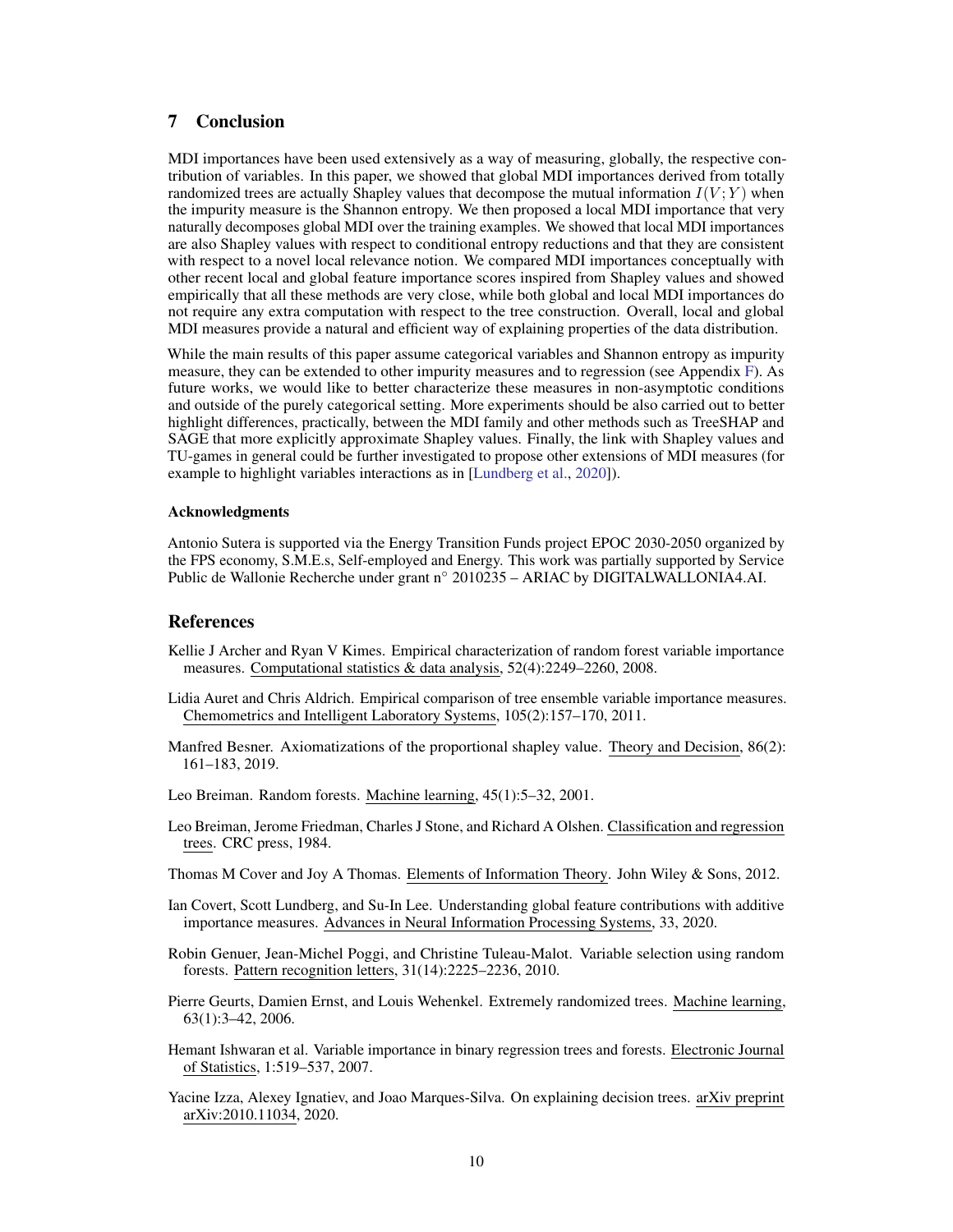# 7 Conclusion

MDI importances have been used extensively as a way of measuring, globally, the respective contribution of variables. In this paper, we showed that global MDI importances derived from totally randomized trees are actually Shapley values that decompose the mutual information  $I(V; Y)$  when the impurity measure is the Shannon entropy. We then proposed a local MDI importance that very naturally decomposes global MDI over the training examples. We showed that local MDI importances are also Shapley values with respect to conditional entropy reductions and that they are consistent with respect to a novel local relevance notion. We compared MDI importances conceptually with other recent local and global feature importance scores inspired from Shapley values and showed empirically that all these methods are very close, while both global and local MDI importances do not require any extra computation with respect to the tree construction. Overall, local and global MDI measures provide a natural and efficient way of explaining properties of the data distribution.

While the main results of this paper assume categorical variables and Shannon entropy as impurity measure, they can be extended to other impurity measures and to regression (see Appendix [F\)](#page-16-0). As future works, we would like to better characterize these measures in non-asymptotic conditions and outside of the purely categorical setting. More experiments should be also carried out to better highlight differences, practically, between the MDI family and other methods such as TreeSHAP and SAGE that more explicitly approximate Shapley values. Finally, the link with Shapley values and TU-games in general could be further investigated to propose other extensions of MDI measures (for example to highlight variables interactions as in [\[Lundberg et al.,](#page-10-8) [2020\]](#page-10-8)).

## Acknowledgments

Antonio Sutera is supported via the Energy Transition Funds project EPOC 2030-2050 organized by the FPS economy, S.M.E.s, Self-employed and Energy. This work was partially supported by Service Public de Wallonie Recherche under grant n◦ 2010235 – ARIAC by DIGITALWALLONIA4.AI.

## References

- <span id="page-9-1"></span>Kellie J Archer and Ryan V Kimes. Empirical characterization of random forest variable importance measures. Computational statistics & data analysis, 52(4):2249–2260, 2008.
- <span id="page-9-3"></span>Lidia Auret and Chris Aldrich. Empirical comparison of tree ensemble variable importance measures. Chemometrics and Intelligent Laboratory Systems, 105(2):157–170, 2011.
- <span id="page-9-6"></span>Manfred Besner. Axiomatizations of the proportional shapley value. Theory and Decision, 86(2): 161–183, 2019.
- <span id="page-9-0"></span>Leo Breiman. Random forests. Machine learning, 45(1):5–32, 2001.
- <span id="page-9-7"></span>Leo Breiman, Jerome Friedman, Charles J Stone, and Richard A Olshen. Classification and regression trees. CRC press, 1984.
- <span id="page-9-10"></span>Thomas M Cover and Joy A Thomas. Elements of Information Theory. John Wiley & Sons, 2012.
- <span id="page-9-9"></span>Ian Covert, Scott Lundberg, and Su-In Lee. Understanding global feature contributions with additive importance measures. Advances in Neural Information Processing Systems, 33, 2020.
- <span id="page-9-2"></span>Robin Genuer, Jean-Michel Poggi, and Christine Tuleau-Malot. Variable selection using random forests. Pattern recognition letters, 31(14):2225–2236, 2010.
- <span id="page-9-8"></span>Pierre Geurts, Damien Ernst, and Louis Wehenkel. Extremely randomized trees. Machine learning, 63(1):3–42, 2006.
- <span id="page-9-4"></span>Hemant Ishwaran et al. Variable importance in binary regression trees and forests. Electronic Journal of Statistics, 1:519–537, 2007.
- <span id="page-9-5"></span>Yacine Izza, Alexey Ignatiev, and Joao Marques-Silva. On explaining decision trees. arXiv preprint arXiv:2010.11034, 2020.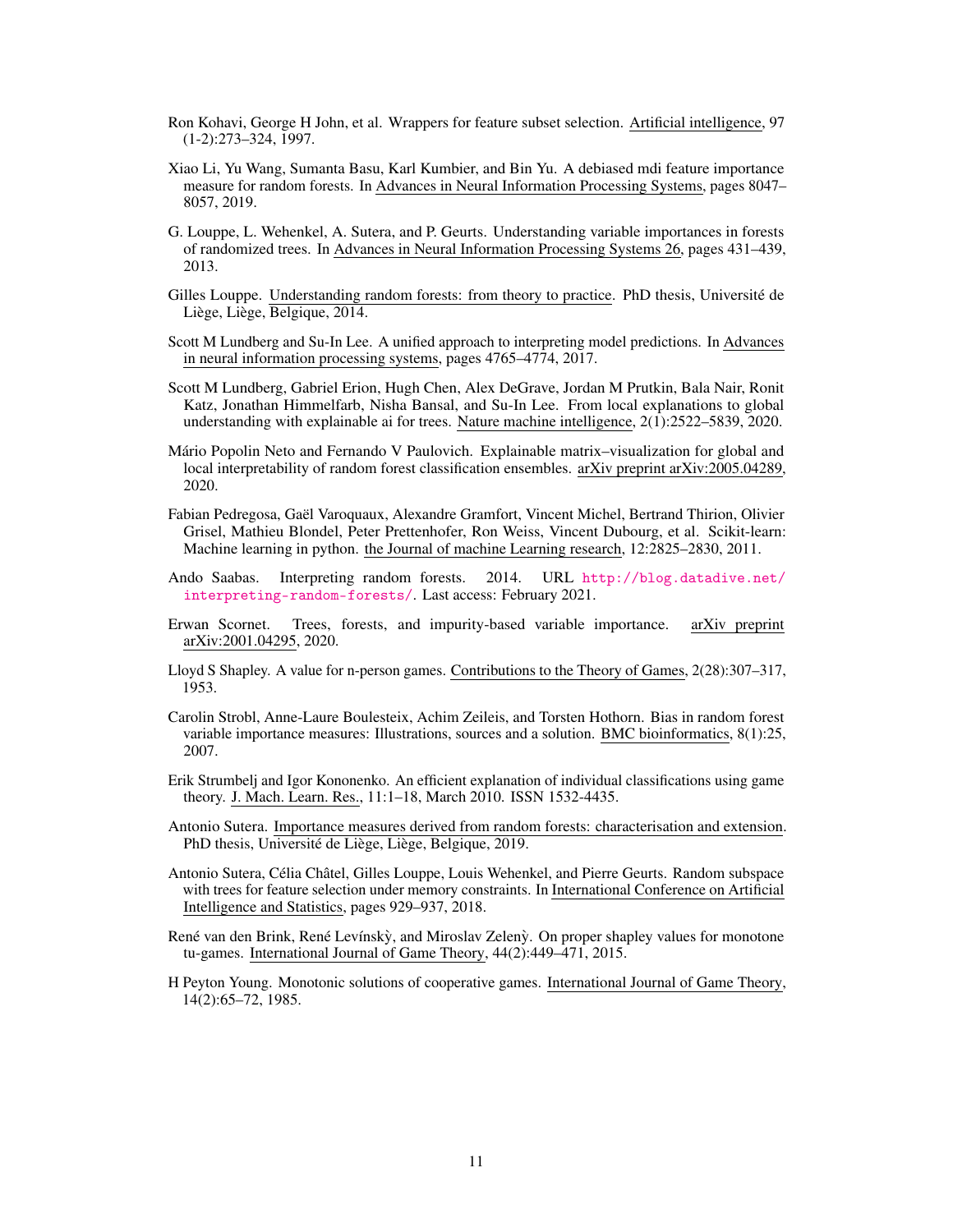- <span id="page-10-12"></span>Ron Kohavi, George H John, et al. Wrappers for feature subset selection. Artificial intelligence, 97 (1-2):273–324, 1997.
- <span id="page-10-4"></span>Xiao Li, Yu Wang, Sumanta Basu, Karl Kumbier, and Bin Yu. A debiased mdi feature importance measure for random forests. In Advances in Neural Information Processing Systems, pages 8047– 8057, 2019.
- <span id="page-10-1"></span>G. Louppe, L. Wehenkel, A. Sutera, and P. Geurts. Understanding variable importances in forests of randomized trees. In Advances in Neural Information Processing Systems 26, pages 431–439, 2013.
- <span id="page-10-2"></span>Gilles Louppe. Understanding random forests: from theory to practice. PhD thesis, Université de Liège, Liège, Belgique, 2014.
- <span id="page-10-13"></span>Scott M Lundberg and Su-In Lee. A unified approach to interpreting model predictions. In Advances in neural information processing systems, pages 4765–4774, 2017.
- <span id="page-10-8"></span>Scott M Lundberg, Gabriel Erion, Hugh Chen, Alex DeGrave, Jordan M Prutkin, Bala Nair, Ronit Katz, Jonathan Himmelfarb, Nisha Bansal, and Su-In Lee. From local explanations to global understanding with explainable ai for trees. Nature machine intelligence, 2(1):2522–5839, 2020.
- <span id="page-10-7"></span>Mário Popolin Neto and Fernando V Paulovich. Explainable matrix–visualization for global and local interpretability of random forest classification ensembles. arXiv preprint arXiv:2005.04289, 2020.
- <span id="page-10-16"></span>Fabian Pedregosa, Gaël Varoquaux, Alexandre Gramfort, Vincent Michel, Bertrand Thirion, Olivier Grisel, Mathieu Blondel, Peter Prettenhofer, Ron Weiss, Vincent Dubourg, et al. Scikit-learn: Machine learning in python. the Journal of machine Learning research, 12:2825–2830, 2011.
- <span id="page-10-15"></span>Ando Saabas. Interpreting random forests. 2014. URL [http://blog.datadive.net/](http://blog.datadive.net/interpreting-random-forests/) [interpreting-random-forests/](http://blog.datadive.net/interpreting-random-forests/). Last access: February 2021.
- <span id="page-10-6"></span>Erwan Scornet. Trees, forests, and impurity-based variable importance. arXiv preprint arXiv:2001.04295, 2020.
- <span id="page-10-11"></span>Lloyd S Shapley. A value for n-person games. Contributions to the Theory of Games, 2(28):307–317, 1953.
- <span id="page-10-0"></span>Carolin Strobl, Anne-Laure Boulesteix, Achim Zeileis, and Torsten Hothorn. Bias in random forest variable importance measures: Illustrations, sources and a solution. BMC bioinformatics, 8(1):25, 2007.
- <span id="page-10-14"></span>Erik Strumbelj and Igor Kononenko. An efficient explanation of individual classifications using game theory. J. Mach. Learn. Res., 11:1–18, March 2010. ISSN 1532-4435.
- <span id="page-10-5"></span>Antonio Sutera. Importance measures derived from random forests: characterisation and extension. PhD thesis, Université de Liège, Liège, Belgique, 2019.
- <span id="page-10-3"></span>Antonio Sutera, Célia Châtel, Gilles Louppe, Louis Wehenkel, and Pierre Geurts. Random subspace with trees for feature selection under memory constraints. In International Conference on Artificial Intelligence and Statistics, pages 929–937, 2018.
- <span id="page-10-9"></span>René van den Brink, René Levínskỳ, and Miroslav Zelenỳ. On proper shapley values for monotone tu-games. International Journal of Game Theory, 44(2):449–471, 2015.
- <span id="page-10-10"></span>H Peyton Young. Monotonic solutions of cooperative games. International Journal of Game Theory, 14(2):65–72, 1985.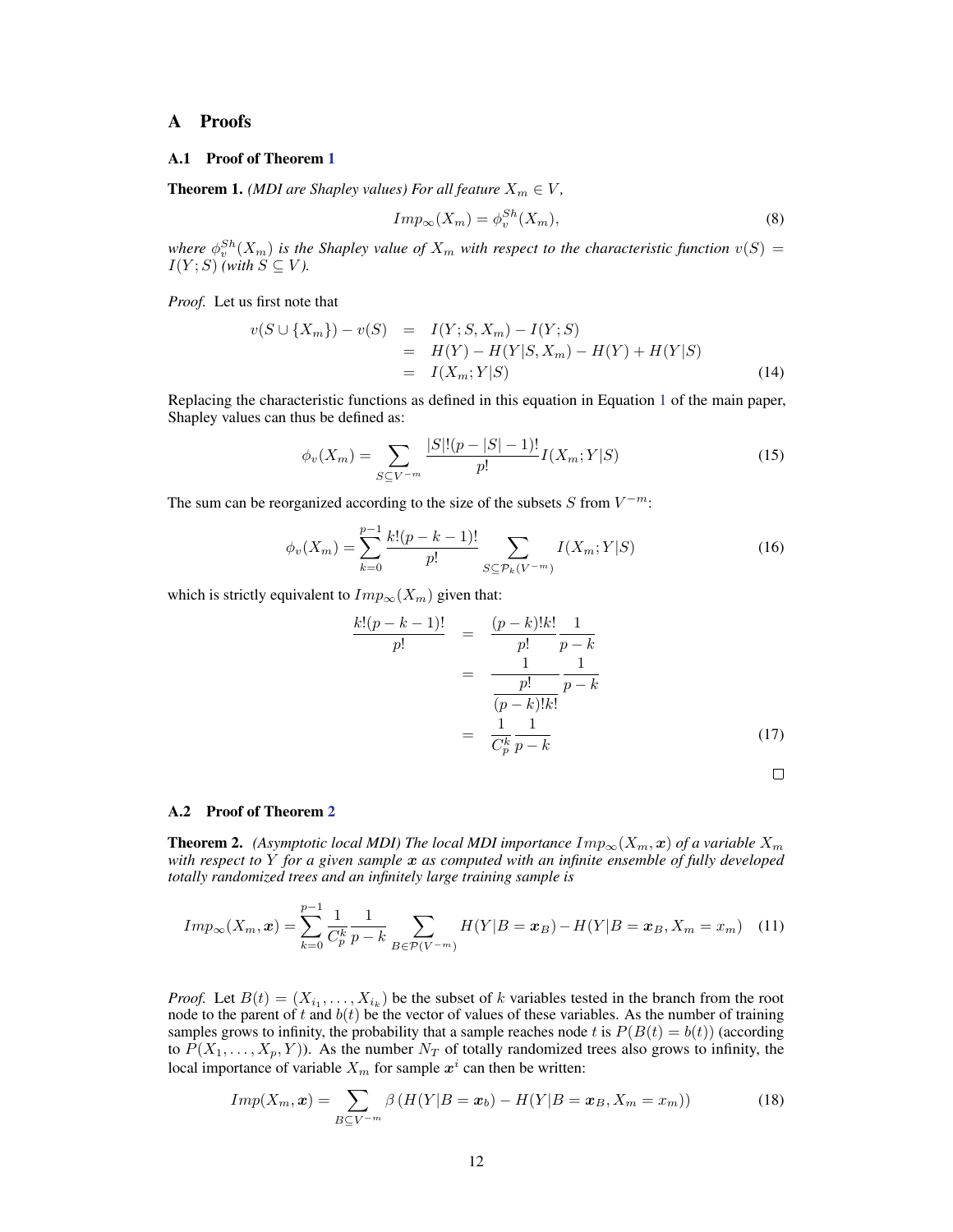## <span id="page-11-0"></span>A Proofs

#### A.1 Proof of Theorem [1](#page-3-4)

**Theorem 1.** *(MDI are Shapley values) For all feature*  $X_m \in V$ *,* 

$$
Imp_{\infty}(X_m) = \phi_v^{Sh}(X_m), \tag{8}
$$

where  $\phi_v^{Sh}(X_m)$  is the Shapley value of  $X_m$  with respect to the characteristic function  $v(S)$  =  $I(Y;S)$  *(with*  $S \subseteq V$ *)*.

*Proof.* Let us first note that

$$
v(S \cup \{X_m\}) - v(S) = I(Y; S, X_m) - I(Y; S) = H(Y) - H(Y|S, X_m) - H(Y) + H(Y|S) = I(X_m; Y|S)
$$
(14)

Replacing the characteristic functions as defined in this equation in Equation [1](#page-1-4) of the main paper, Shapley values can thus be defined as:

$$
\phi_v(X_m) = \sum_{S \subseteq V^{-m}} \frac{|S|!(p-|S|-1)!}{p!} I(X_m;Y|S)
$$
\n(15)

The sum can be reorganized according to the size of the subsets  $S$  from  $V^{-m}$ :

$$
\phi_v(X_m) = \sum_{k=0}^{p-1} \frac{k!(p-k-1)!}{p!} \sum_{S \subseteq \mathcal{P}_k(V^{-m})} I(X_m;Y|S)
$$
(16)

which is strictly equivalent to  $Imp_{\infty}(X_m)$  given that:

$$
\frac{k!(p-k-1)!}{p!} = \frac{(p-k)!k!}{p!} \frac{1}{p-k}
$$

$$
= \frac{1}{\frac{p!}{(p-k)!k!}} \frac{1}{p-k}
$$

$$
= \frac{1}{\frac{1}{C_p^k} \frac{1}{p-k}}
$$
(17)

#### A.2 Proof of Theorem [2](#page-5-5)

**Theorem 2.** *(Asymptotic local MDI) The local MDI importance*  $Imp_\infty(X_m, x)$  *of a variable*  $X_m$ *with respect to* Y *for a given sample* x *as computed with an infinite ensemble of fully developed totally randomized trees and an infinitely large training sample is*

$$
Imp_{\infty}(X_m, x) = \sum_{k=0}^{p-1} \frac{1}{C_p^k} \frac{1}{p-k} \sum_{B \in \mathcal{P}(V^{-m})} H(Y|B = x_B) - H(Y|B = x_B, X_m = x_m)
$$
 (11)

*Proof.* Let  $B(t) = (X_{i_1}, \ldots, X_{i_k})$  be the subset of k variables tested in the branch from the root node to the parent of t and  $b(t)$  be the vector of values of these variables. As the number of training samples grows to infinity, the probability that a sample reaches node t is  $P(B(t) = b(t))$  (according to  $\overline{P}(X_1,\ldots,X_p,Y)$ ). As the number  $N_T$  of totally randomized trees also grows to infinity, the local importance of variable  $X_m$  for sample  $x^i$  can then be written:

<span id="page-11-1"></span>
$$
Imp(X_m, x) = \sum_{B \subseteq V^{-m}} \beta (H(Y|B = x_b) - H(Y|B = x_B, X_m = x_m))
$$
\n(18)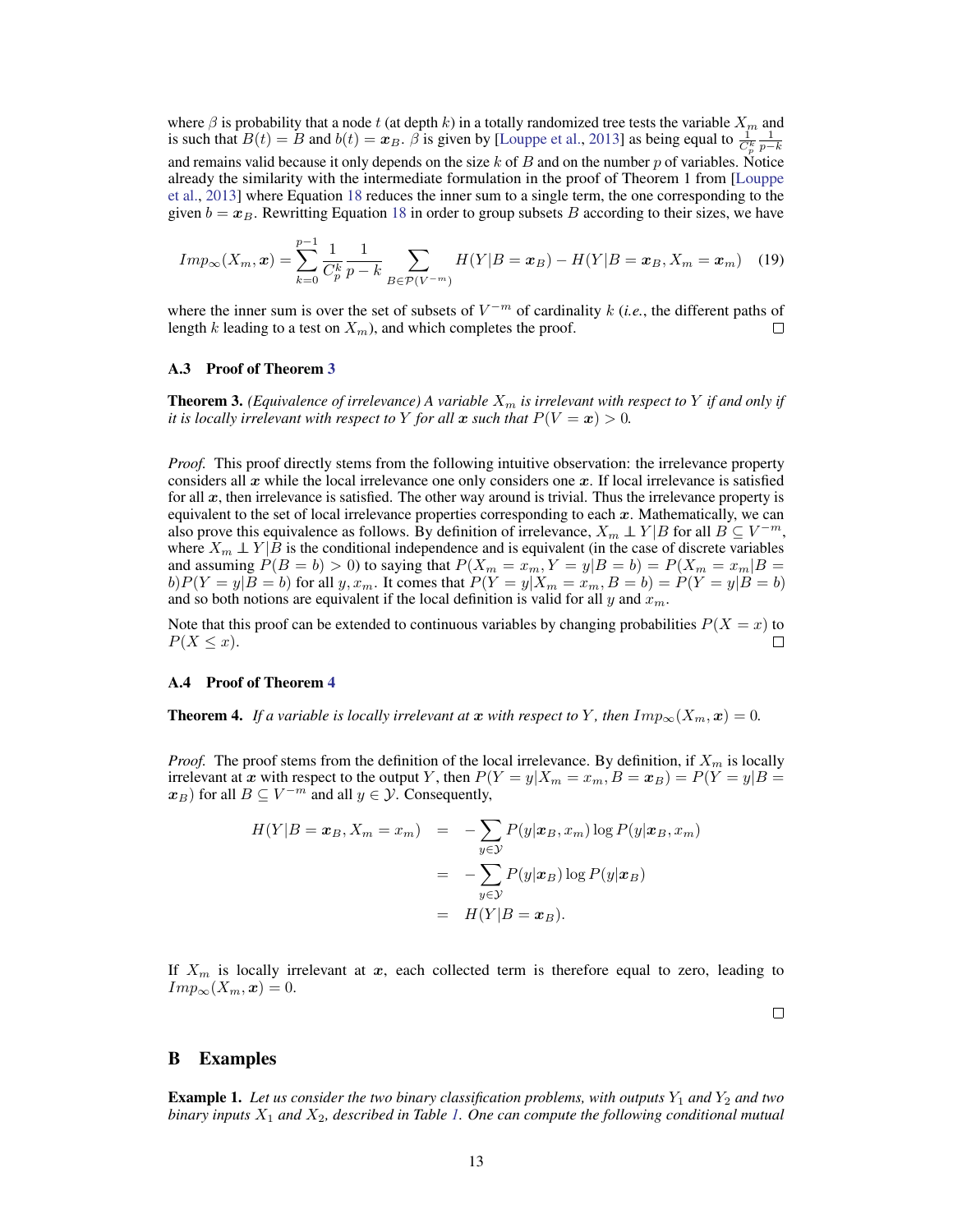where  $\beta$  is probability that a node t (at depth k) in a totally randomized tree tests the variable  $X_m$  and is such that  $B(t) = B$  and  $b(t) = x_B$ .  $\hat{\beta}$  is given by [\[Louppe et al.,](#page-10-1) [2013\]](#page-10-1) as being equal to  $\frac{1}{C_p^k}$  $\frac{1}{p-k}$ and remains valid because it only depends on the size  $k$  of  $B$  and on the number  $p$  of variables. Notice already the similarity with the intermediate formulation in the proof of Theorem 1 from [\[Louppe](#page-10-1) [et al.,](#page-10-1) [2013\]](#page-10-1) where Equation [18](#page-11-1) reduces the inner sum to a single term, the one corresponding to the given  $b = x_B$ . Rewritting Equation [18](#page-11-1) in order to group subsets B according to their sizes, we have

$$
Imp_{\infty}(X_m, \mathbf{x}) = \sum_{k=0}^{p-1} \frac{1}{C_p^k} \frac{1}{p-k} \sum_{B \in \mathcal{P}(V^{-m})} H(Y|B = \mathbf{x}_B) - H(Y|B = \mathbf{x}_B, X_m = \mathbf{x}_m)
$$
(19)

where the inner sum is over the set of subsets of  $V^{-m}$  of cardinality k (*i.e.*, the different paths of length k leading to a test on  $X_m$ ), and which completes the proof.  $\Box$ 

#### A.3 Proof of Theorem [3](#page-6-2)

**Theorem 3.** *(Equivalence of irrelevance)* A variable  $X_m$  *is irrelevant with respect to* Y *if and only if it is locally irrelevant with respect to* Y *for all* x *such that*  $P(V = x) > 0$ *.* 

*Proof.* This proof directly stems from the following intuitive observation: the irrelevance property considers all  $x$  while the local irrelevance one only considers one  $x$ . If local irrelevance is satisfied for all x, then irrelevance is satisfied. The other way around is trivial. Thus the irrelevance property is equivalent to the set of local irrelevance properties corresponding to each  $x$ . Mathematically, we can also prove this equivalence as follows. By definition of irrelevance,  $X_m \perp Y|B$  for all  $B \subseteq V^{-m}$ , where  $X_m \perp Y | B$  is the conditional independence and is equivalent (in the case of discrete variables and assuming  $P(B = b) > 0$ ) to saying that  $P(X_m = x_m, Y = y|B = b) = P(X_m = x_m|B = b)$  $b)P(Y = y|B = b)$  for all  $y, x_m$ . It comes that  $P(Y = y|X_m = x_m, B = b) = P(Y = y|B = b)$ and so both notions are equivalent if the local definition is valid for all  $y$  and  $x_m$ 

Note that this proof can be extended to continuous variables by changing probabilities  $P(X = x)$  to  $P(X \leq x)$ .  $\Box$ 

#### A.4 Proof of Theorem [4](#page-6-3)

**Theorem 4.** If a variable is locally irrelevant at x with respect to Y, then  $Imp_{\infty}(X_m, x) = 0$ .

*Proof.* The proof stems from the definition of the local irrelevance. By definition, if  $X_m$  is locally irrelevant at x with respect to the output Y, then  $P(Y = y | X_m = x_m, B = x_B) = P(Y = y | B = y)$  $(x_B)$  for all  $B \subseteq V^{-m}$  and all  $y \in \mathcal{Y}$ . Consequently,

$$
H(Y|B = x_B, X_m = x_m) = -\sum_{y \in \mathcal{Y}} P(y|x_B, x_m) \log P(y|x_B, x_m)
$$

$$
= -\sum_{y \in \mathcal{Y}} P(y|x_B) \log P(y|x_B)
$$

$$
= H(Y|B = x_B).
$$

If  $X_m$  is locally irrelevant at x, each collected term is therefore equal to zero, leading to  $Imp_{\infty}(X_m, x) = 0.$ 

 $\Box$ 

### <span id="page-12-1"></span>B Examples

<span id="page-12-0"></span>**Example 1.** Let us consider the two binary classification problems, with outputs  $Y_1$  and  $Y_2$  and two *binary inputs* X<sup>1</sup> *and* X2*, described in Table [1.](#page-13-2) One can compute the following conditional mutual*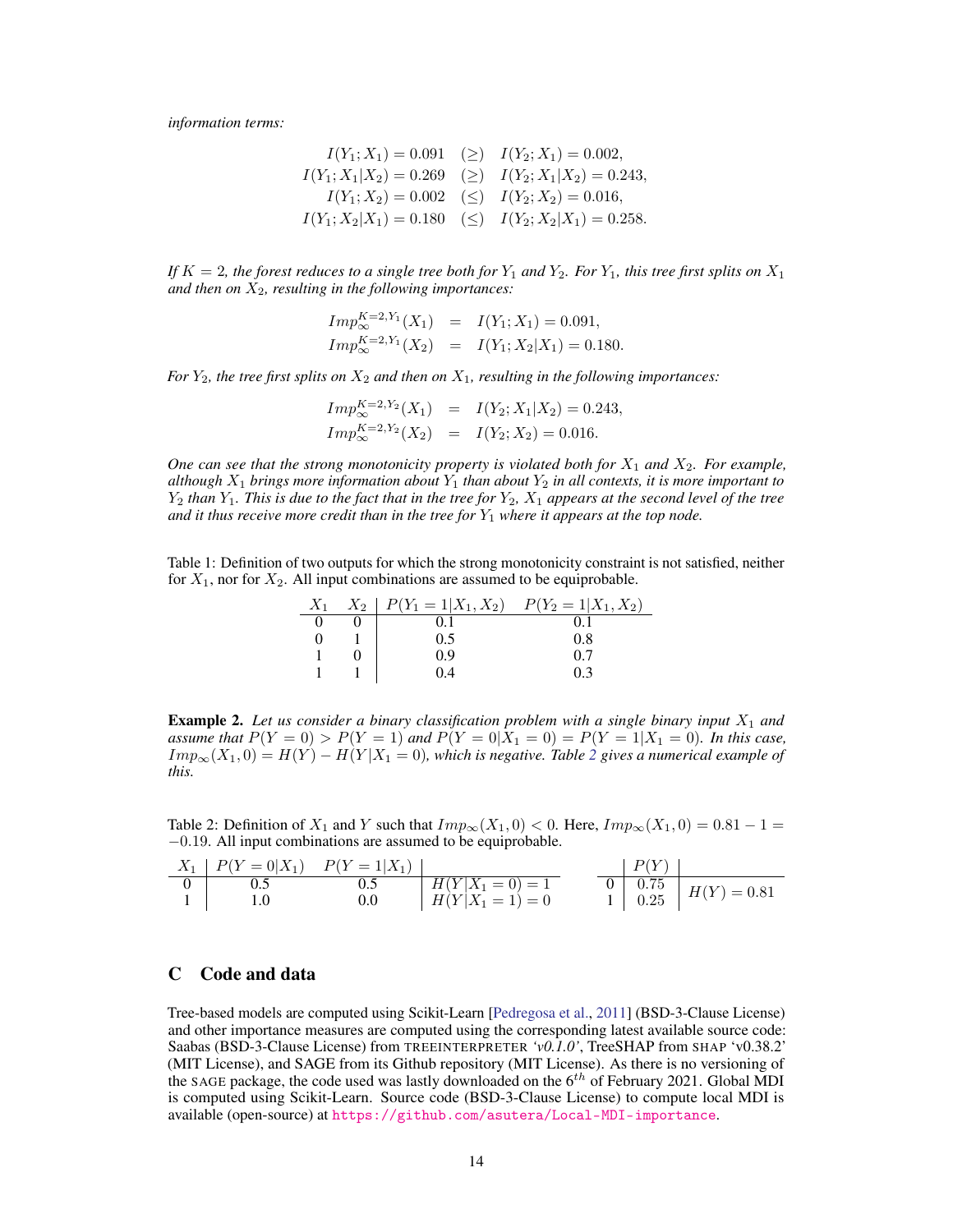*information terms:*

$$
I(Y_1; X_1) = 0.091 \quad (\ge) \quad I(Y_2; X_1) = 0.002,
$$
  
\n
$$
I(Y_1; X_1 | X_2) = 0.269 \quad (\ge) \quad I(Y_2; X_1 | X_2) = 0.243,
$$
  
\n
$$
I(Y_1; X_2) = 0.002 \quad (\le) \quad I(Y_2; X_2) = 0.016,
$$
  
\n
$$
I(Y_1; X_2 | X_1) = 0.180 \quad (\le) \quad I(Y_2; X_2 | X_1) = 0.258.
$$

If  $K = 2$ , the forest reduces to a single tree both for  $Y_1$  and  $Y_2$ . For  $Y_1$ , this tree first splits on  $X_1$ and then on  $X_2$ , resulting in the following importances:

$$
Imp_{\infty}^{K=2, Y_1}(X_1) = I(Y_1; X_1) = 0.091,
$$
  
\n
$$
Imp_{\infty}^{K=2, Y_1}(X_2) = I(Y_1; X_2|X_1) = 0.180.
$$

*For*  $Y_2$ *, the tree first splits on*  $X_2$  *and then on*  $X_1$ *, resulting in the following importances:* 

$$
Imp_{\infty}^{K=2, Y_2}(X_1) = I(Y_2; X_1 | X_2) = 0.243,
$$
  
\n
$$
Imp_{\infty}^{K=2, Y_2}(X_2) = I(Y_2; X_2) = 0.016.
$$

*One can see that the strong monotonicity property is violated both for*  $X_1$  *and*  $X_2$ *. For example, although*  $X_1$  *brings more information about*  $Y_1$  *than about*  $Y_2$  *in all contexts, it is more important to*  $Y_2$  *than*  $Y_1$ *. This is due to the fact that in the tree for*  $Y_2$ *,*  $X_1$  *appears at the second level of the tree* and it thus receive more credit than in the tree for  $Y_1$  where it appears at the top node.

<span id="page-13-2"></span>Table 1: Definition of two outputs for which the strong monotonicity constraint is not satisfied, neither for  $X_1$ , nor for  $X_2$ . All input combinations are assumed to be equiprobable.

| $X_1$ | $X_2$   $P(Y_1 = 1   X_1, X_2)$ | $P(Y_2 = 1   X_1, X_2)$ |
|-------|---------------------------------|-------------------------|
|       |                                 |                         |
|       | 0.5                             | 0.8                     |
|       | 0.9                             | 0.7                     |
|       | 0.4                             | 0 3                     |

<span id="page-13-0"></span>**Example 2.** Let us consider a binary classification problem with a single binary input  $X_1$  and *assume that*  $P(Y = 0) > P(Y = 1)$  *and*  $P(Y = 0|X_1 = 0) = P(Y = 1|X_1 = 0)$ *. In this case,*  $Imp_{\infty}(X_1, 0) = H(Y) - H(Y|X_1 = 0)$ , which is negative. Table [2](#page-13-3) gives a numerical example of *this.*

<span id="page-13-3"></span>Table 2: Definition of  $X_1$  and Y such that  $Imp_\infty(X_1, 0) < 0$ . Here,  $Imp_\infty(X_1, 0) = 0.81 - 1 =$ −0.19. All input combinations are assumed to be equiprobable.

| $X_1$   $P(Y=0 X_1)$ $P(Y=1 X_1)$ |     |                    | P(V) |                                                                     |
|-----------------------------------|-----|--------------------|------|---------------------------------------------------------------------|
|                                   |     | $H(Y X_1=0)=1$     |      | $\begin{array}{c c} 0 & 0.75 \\ 1 & 0.25 \end{array}$ $H(Y) = 0.81$ |
|                                   | 0.0 | $H(Y X_1 = 1) = 0$ |      |                                                                     |

# <span id="page-13-1"></span>C Code and data

Tree-based models are computed using Scikit-Learn [\[Pedregosa et al.,](#page-10-16) [2011\]](#page-10-16) (BSD-3-Clause License) and other importance measures are computed using the corresponding latest available source code: Saabas (BSD-3-Clause License) from TREEINTERPRETER *'v0.1.0'*, TreeSHAP from SHAP 'v0.38.2' (MIT License), and SAGE from its Github repository (MIT License). As there is no versioning of the SAGE package, the code used was lastly downloaded on the  $6<sup>th</sup>$  of February 2021. Global MDI is computed using Scikit-Learn. Source code (BSD-3-Clause License) to compute local MDI is available (open-source) at <https://github.com/asutera/Local-MDI-importance>.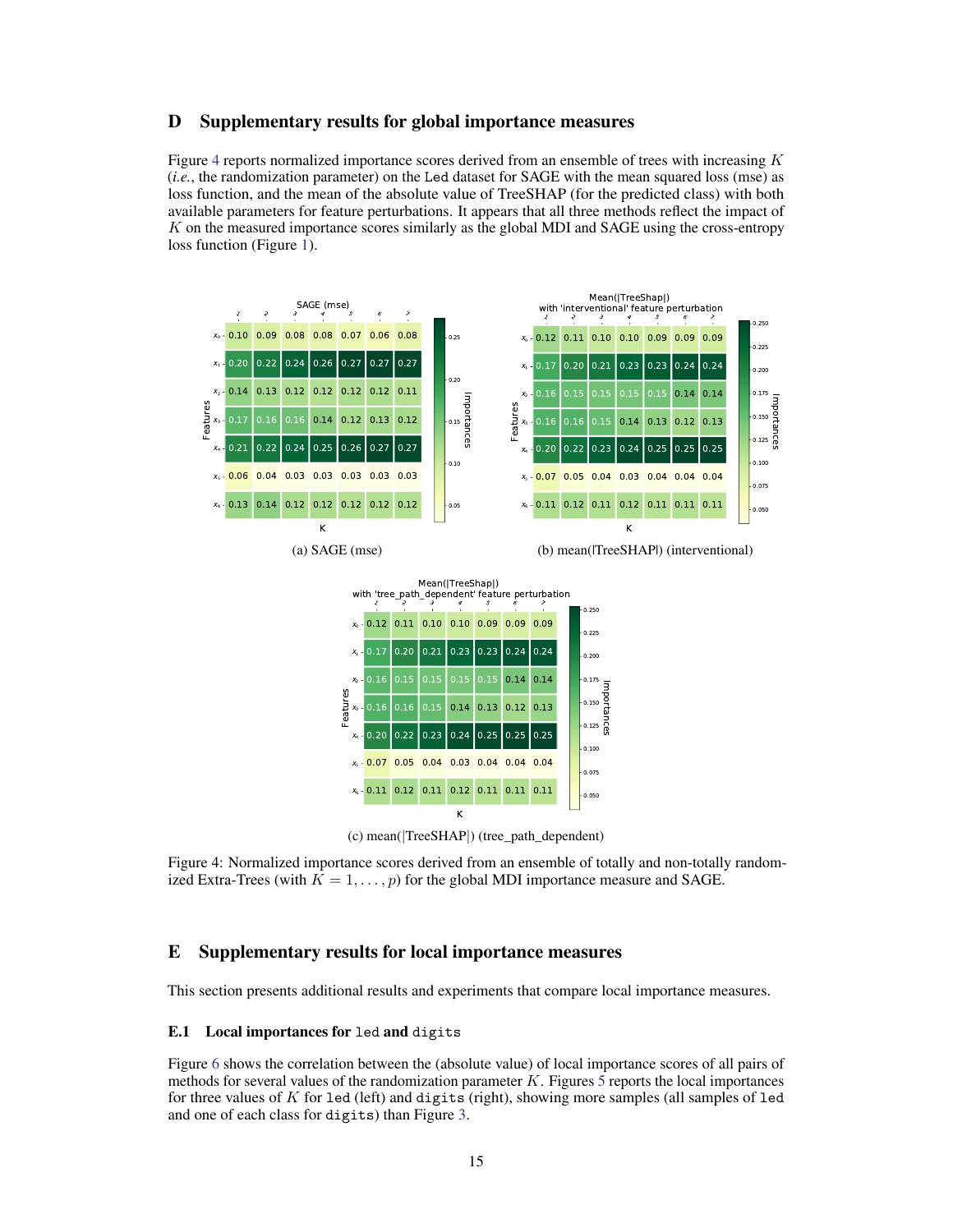## <span id="page-14-1"></span>D Supplementary results for global importance measures

Figure [4](#page-14-2) reports normalized importance scores derived from an ensemble of trees with increasing  $K$ (*i.e.*, the randomization parameter) on the Led dataset for SAGE with the mean squared loss (mse) as loss function, and the mean of the absolute value of TreeSHAP (for the predicted class) with both available parameters for feature perturbations. It appears that all three methods reflect the impact of  $K$  on the measured importance scores similarly as the global MDI and SAGE using the cross-entropy loss function (Figure [1\)](#page-8-1).

<span id="page-14-2"></span>

(c) mean(|TreeSHAP|) (tree\_path\_dependent)

Figure 4: Normalized importance scores derived from an ensemble of totally and non-totally randomized Extra-Trees (with  $K = 1, \ldots, p$ ) for the global MDI importance measure and SAGE.

## <span id="page-14-0"></span>E Supplementary results for local importance measures

This section presents additional results and experiments that compare local importance measures.

#### E.1 Local importances for led and digits

Figure [6](#page-15-0) shows the correlation between the (absolute value) of local importance scores of all pairs of methods for several values of the randomization parameter K. Figures [5](#page-15-1) reports the local importances for three values of K for led (left) and digits (right), showing more samples (all samples of led and one of each class for digits) than Figure [3.](#page-8-2)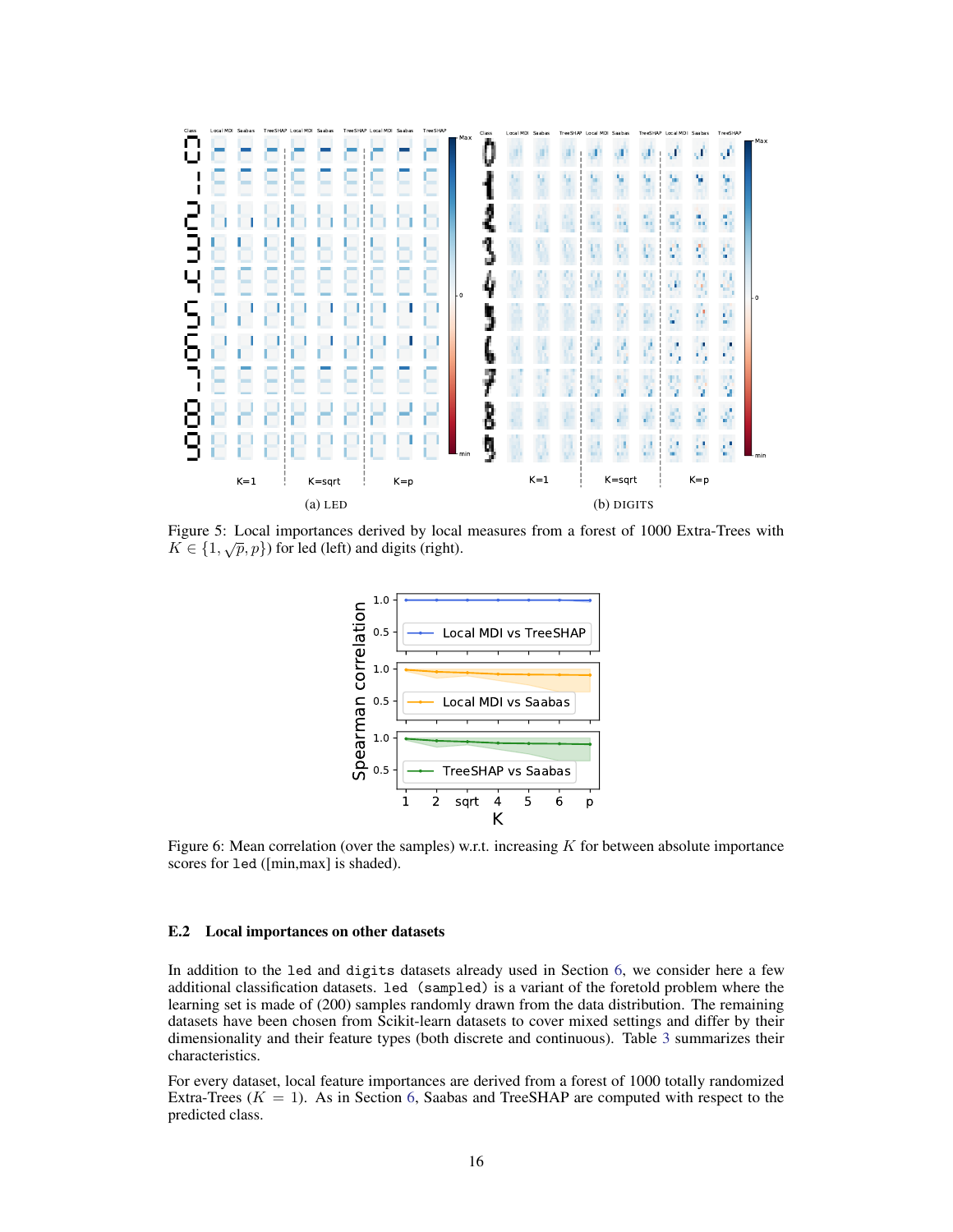<span id="page-15-1"></span>

<span id="page-15-0"></span>Figure 5: Local importances derived by local measures from a forest of 1000 Extra-Trees with Figure 5. Local importances derived by focal  $K \in \{1, \sqrt{p}, p\}$  for led (left) and digits (right).



Figure 6: Mean correlation (over the samples) w.r.t. increasing  $K$  for between absolute importance scores for led ([min,max] is shaded).

#### E.2 Local importances on other datasets

In addition to the led and digits datasets already used in Section [6,](#page-8-0) we consider here a few additional classification datasets. led (sampled) is a variant of the foretold problem where the learning set is made of (200) samples randomly drawn from the data distribution. The remaining datasets have been chosen from Scikit-learn datasets to cover mixed settings and differ by their dimensionality and their feature types (both discrete and continuous). Table [3](#page-16-1) summarizes their characteristics.

For every dataset, local feature importances are derived from a forest of 1000 totally randomized Extra-Trees ( $K = 1$ ). As in Section [6,](#page-8-0) Saabas and TreeSHAP are computed with respect to the predicted class.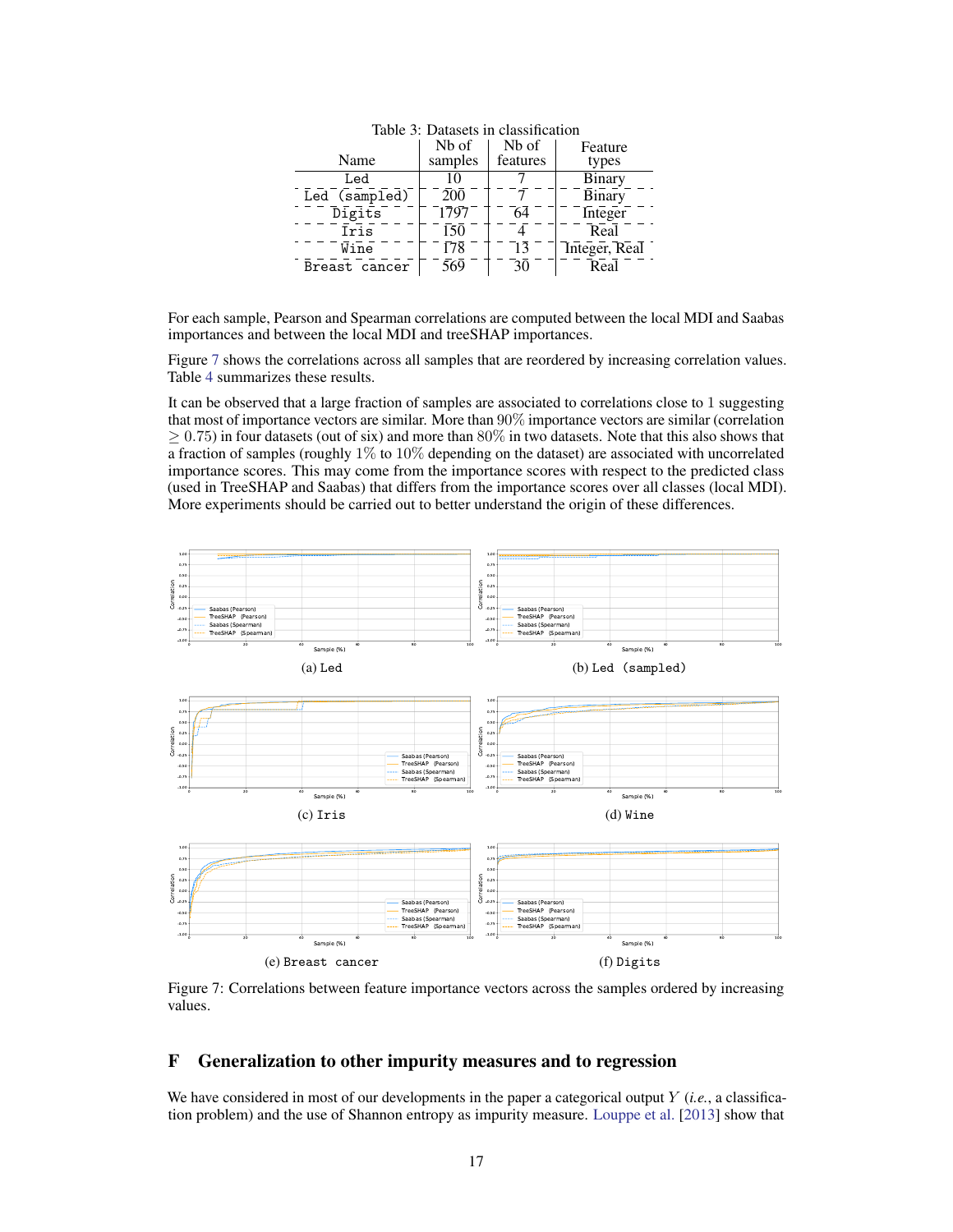<span id="page-16-1"></span>

| ниле  изаказект ни ставинеации |                  |          |               |  |
|--------------------------------|------------------|----------|---------------|--|
|                                | Nb of            | Nb of    | Feature       |  |
| Name                           | samples          | features | types         |  |
| Led                            | 10               |          | <b>Binary</b> |  |
| Led (sampled)                  | $\overline{200}$ |          | <b>Binary</b> |  |
| Digits                         | 1797             | 64       | Integer       |  |
| Iris                           | 150              |          | Real          |  |
| Wine                           | 178              | 13       | Integer, Real |  |
| Breast cancer                  | 569              | 30       | Real          |  |
|                                |                  |          |               |  |

Table 3: Datasets in classification

For each sample, Pearson and Spearman correlations are computed between the local MDI and Saabas importances and between the local MDI and treeSHAP importances.

Figure [7](#page-16-2) shows the correlations across all samples that are reordered by increasing correlation values. Table [4](#page-17-0) summarizes these results.

It can be observed that a large fraction of samples are associated to correlations close to 1 suggesting that most of importance vectors are similar. More than 90% importance vectors are similar (correlation  $\geq 0.75$ ) in four datasets (out of six) and more than 80% in two datasets. Note that this also shows that a fraction of samples (roughly 1% to 10% depending on the dataset) are associated with uncorrelated importance scores. This may come from the importance scores with respect to the predicted class (used in TreeSHAP and Saabas) that differs from the importance scores over all classes (local MDI). More experiments should be carried out to better understand the origin of these differences.

<span id="page-16-2"></span>

Figure 7: Correlations between feature importance vectors across the samples ordered by increasing values.

# <span id="page-16-0"></span>F Generalization to other impurity measures and to regression

We have considered in most of our developments in the paper a categorical output Y (*i.e.*, a classification problem) and the use of Shannon entropy as impurity measure. [Louppe et al.](#page-10-1) [\[2013\]](#page-10-1) show that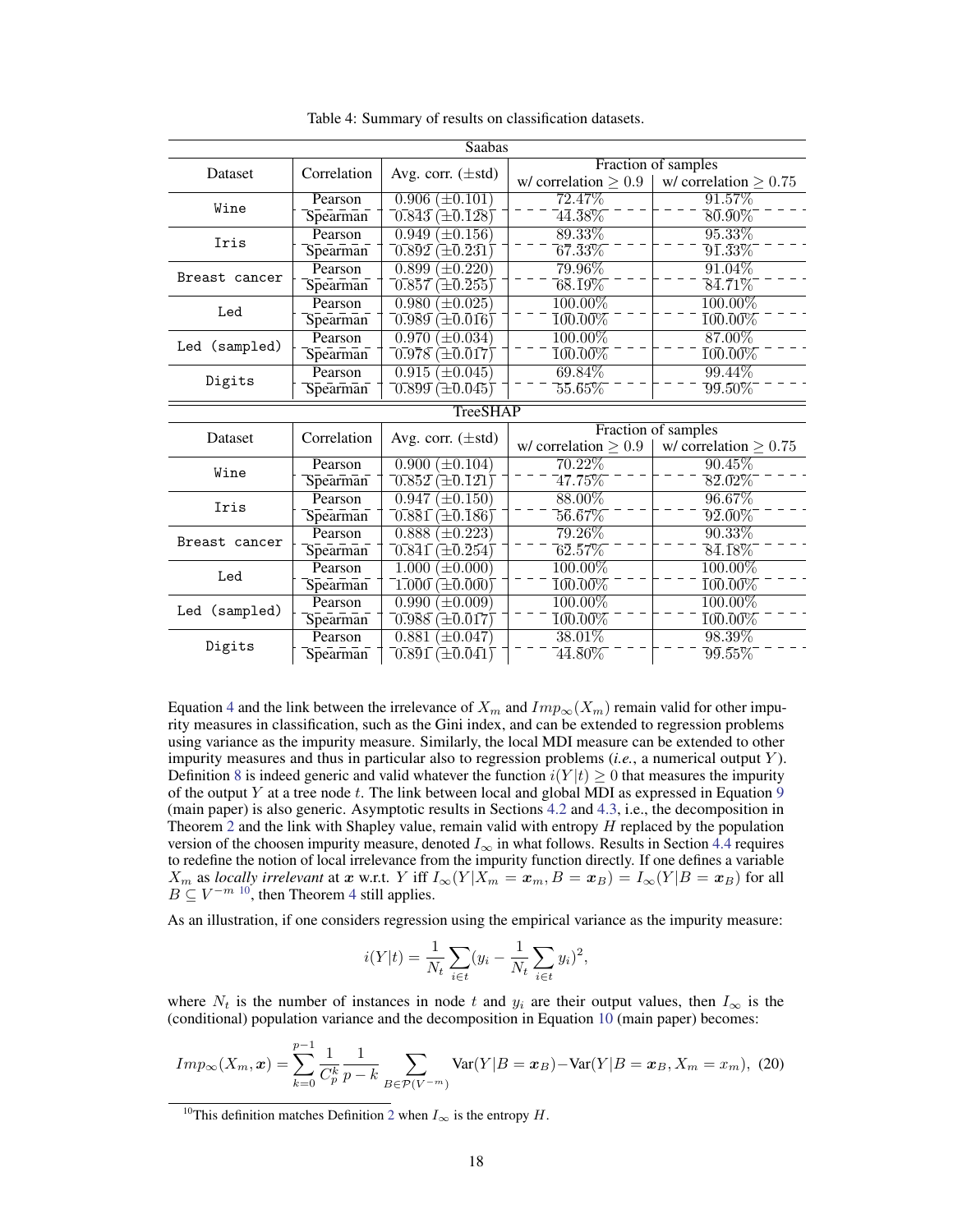<span id="page-17-0"></span>

|                 |                     | Saabas                                                              |                                          |                                         |  |
|-----------------|---------------------|---------------------------------------------------------------------|------------------------------------------|-----------------------------------------|--|
| Dataset         | Correlation         | Avg. corr. $(\pm std)$                                              | Fraction of samples                      |                                         |  |
|                 |                     |                                                                     | w/ correlation $\geq 0.9$                | w/ correlation $\geq 0.75$              |  |
| Wine            | Pearson             | $0.906 \ (\pm 0.101)$                                               | 72.47%                                   | 91.57%                                  |  |
|                 | Spearman            | $(\pm 0.128)$<br>0.843                                              | $\bar{4}\bar{4}.\bar{3}8\%$              | $\overline{80.90\%}$                    |  |
| Iris            | Pearson             | 0.949<br>$\pm 0.156$                                                | 89.33%                                   | $95.33\%$                               |  |
|                 | Spearman            | $\left(\pm\overline{0.231}\right)$<br>$\bar{0.892}$                 | $\bar{6}\bar{7}.\bar{3}3\%$              | $\overline{9}\bar{1}. \bar{3}\bar{3}\%$ |  |
| Breast cancer   | Pearson             | 0.899<br>$\pm 0.220$                                                | $79.96\%$                                | $91.04\%$                               |  |
|                 | Spearman            | $(\pm 0.255)$<br>0.857                                              | $\bar{68.19\%}$                          | $84.71\%$                               |  |
| Led             | Pearson             | 0.980<br>$\pm 0.025$                                                | 100.00%                                  | $100.00\%$                              |  |
|                 | Spearman            | $\overline{0.989} (\pm \overline{0.016})$                           | $100.00\%$                               | $\bar{100.00\%}$                        |  |
|                 | Pearson             | 0.970<br>$\pm 0.034$                                                | $100.00\%$                               | 87.00%                                  |  |
| Led (sampled)   | Spearman            | $\sqrt{0.978} (\pm 0.017)$                                          | $\bar{1}0\bar{0}.0\bar{0}\%$             | $\bar{1}0\bar{0}.\bar{0}0\%$            |  |
| Digits          | Pearson             | 0.915<br>$\pm 0.045$                                                | 69.84%                                   | 99.44%                                  |  |
|                 | Spearman            | $[0.\overline{8}\overline{9}\overline{9} \,(\pm 0.045)$             | $55.\bar{6}5\%$                          | $\overline{9}\bar{9}.50\%$              |  |
| <b>TreeSHAP</b> |                     |                                                                     |                                          |                                         |  |
|                 |                     |                                                                     |                                          |                                         |  |
|                 |                     |                                                                     |                                          | Fraction of samples                     |  |
| Dataset         | Correlation         | Avg. corr. $(\pm std)$                                              | w/ correlation $\geq 0.9$                | w/ correlation $\geq 0.75$              |  |
|                 | Pearson             | $0.900 \ (\pm 0.104)$                                               | $70.22\%$                                | $90.45\%$                               |  |
| Wine            | Spearman            | $0.852 \times 0.121$                                                | $47.75\%$                                | $82.02\%$                               |  |
|                 | Pearson             | 0.947<br>$\pm 0.150$                                                | 88.00%                                   | 96.67%                                  |  |
| Iris            | Spearman            | 0.881<br>$\left(\pm\overline{0.186}\right)$                         | $5\bar{6}. \bar{6}7\%$                   | $\bar{9}\bar{2}. \bar{0}0\%$            |  |
|                 | Pearson             | 0.888<br>$+0.223$                                                   | $79.26\%$                                | $90.33\%$                               |  |
| Breast cancer   | Spearman            | $\overline{0.841}$<br>$\left(\pm\overline{0.254}\right)$            | $\bar{6}\bar{2}.57\%$                    | $84.18\%$                               |  |
|                 | Pearson             | 1.000<br>$(\pm 0.000)$                                              | $100.00\%$                               | $100.00\%$                              |  |
| Led             | Spearman            | $1.000 (\pm 0.000)$                                                 | 100.00%                                  | $\overline{100.00\%}$                   |  |
|                 | Pearson             | 0.990<br>$^{\prime}\pm0.009)$                                       | 100.00%                                  | $100.00\%$                              |  |
| Led (sampled)   | Spearman            | $0.988 \times 0.017$                                                | $100.00\%$                               | $\bar{100.00\%}$                        |  |
| Digits          | Pearson<br>Spearman | 0.881<br>$(\pm 0.047)$<br>$\overline{0.891} (\pm \overline{0.041})$ | $38.01\%$<br>$\bar{4}\bar{4}.\bar{8}0\%$ | 98.39%<br>$\overline{9}\bar{9}.55\%$    |  |

Table 4: Summary of results on classification datasets.

Equation [4](#page-2-2) and the link between the irrelevance of  $X_m$  and  $Imp_\infty(X_m)$  remain valid for other impurity measures in classification, such as the Gini index, and can be extended to regression problems using variance as the impurity measure. Similarly, the local MDI measure can be extended to other impurity measures and thus in particular also to regression problems (*i.e.*, a numerical output Y ). Definition [8](#page-4-3) is indeed generic and valid whatever the function  $i(Y|t) \ge 0$  that measures the impurity of the output Y at a tree node  $t$ . The link between local and global MDI as expressed in Equation  $9$ (main paper) is also generic. Asymptotic results in Sections [4.2](#page-5-0) and [4.3,](#page-5-1) i.e., the decomposition in Theorem [2](#page-5-5) and the link with Shapley value, remain valid with entropy  $H$  replaced by the population version of the choosen impurity measure, denoted  $I_{\infty}$  in what follows. Results in Section [4.4](#page-6-1) requires to redefine the notion of local irrelevance from the impurity function directly. If one defines a variable  $X_m$  as *locally irrelevant* at x w.r.t. Y iff  $I_\infty(Y|X_m = x_m, B = x_B) = I_\infty(Y|B = x_B)$  for all  $B \subseteq V^{-m}$  <sup>[10](#page-17-1)</sup>, then Theorem [4](#page-6-3) still applies.

As an illustration, if one considers regression using the empirical variance as the impurity measure:

$$
i(Y|t) = \frac{1}{N_t} \sum_{i \in t} (y_i - \frac{1}{N_t} \sum_{i \in t} y_i)^2,
$$

where  $N_t$  is the number of instances in node t and  $y_i$  are their output values, then  $I_{\infty}$  is the (conditional) population variance and the decomposition in Equation [10](#page-5-3) (main paper) becomes:

$$
Imp_{\infty}(X_m, x) = \sum_{k=0}^{p-1} \frac{1}{C_p^k} \frac{1}{p-k} \sum_{B \in \mathcal{P}(V^{-m})} \text{Var}(Y|B = x_B) - \text{Var}(Y|B = x_B, X_m = x_m), \tag{20}
$$

<span id="page-17-1"></span><sup>&</sup>lt;sup>10</sup>This definition matches Definition [2](#page-6-4) when  $I_{\infty}$  is the entropy H.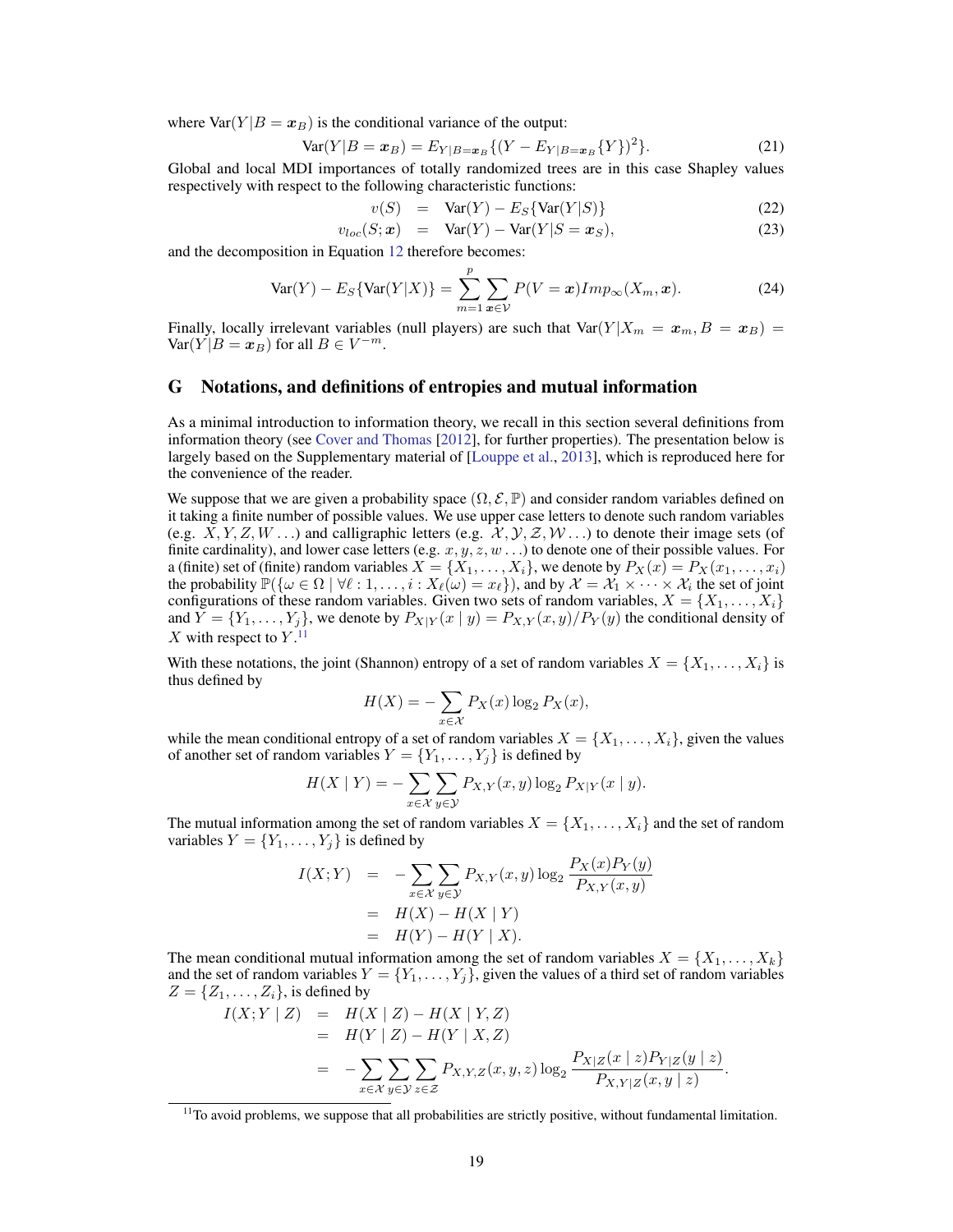where  $Var(Y|B = x_B)$  is the conditional variance of the output:

$$
Var(Y|B = x_B) = E_{Y|B=x_B}\{(Y - E_{Y|B=x_B}\{Y\})^2\}.
$$
\n(21)

Global and local MDI importances of totally randomized trees are in this case Shapley values respectively with respect to the following characteristic functions:

$$
v(S) = \text{Var}(Y) - E_S\{\text{Var}(Y|S)\}\tag{22}
$$

$$
v_{loc}(S; \mathbf{x}) = \text{Var}(Y) - \text{Var}(Y|S = \mathbf{x}_S), \tag{23}
$$

and the decomposition in Equation [12](#page-5-4) therefore becomes:

$$
\text{Var}(Y) - E_S\{\text{Var}(Y|X)\} = \sum_{m=1}^p \sum_{\mathbf{x} \in \mathcal{V}} P(V = \mathbf{x}) Imp_{\infty}(X_m, \mathbf{x}).
$$
 (24)

Finally, locally irrelevant variables (null players) are such that  $Var(Y|X_m = x_m, B = x_B)$  $\text{Var}(Y|B=x_B)$  for all  $B\in V^{-m}$ .

# G Notations, and definitions of entropies and mutual information

As a minimal introduction to information theory, we recall in this section several definitions from information theory (see [Cover and Thomas](#page-9-10) [\[2012\]](#page-9-10), for further properties). The presentation below is largely based on the Supplementary material of [\[Louppe et al.,](#page-10-1) [2013\]](#page-10-1), which is reproduced here for the convenience of the reader.

We suppose that we are given a probability space  $(\Omega, \mathcal{E}, \mathbb{P})$  and consider random variables defined on it taking a finite number of possible values. We use upper case letters to denote such random variables (e.g.  $X, Y, Z, W, \ldots$ ) and calligraphic letters (e.g.  $\mathcal{X}, \mathcal{Y}, \mathcal{Z}, W, \ldots$ ) to denote their image sets (of finite cardinality), and lower case letters (e.g.  $x, y, z, w \dots$ ) to denote one of their possible values. For a (finite) set of (finite) random variables  $X = \{X_1, \ldots, X_i\}$ , we denote by  $P_X(x) = P_X(x_1, \ldots, x_i)$ the probability  $\mathbb{P}(\{\omega \in \Omega \mid \forall \ell : 1, \ldots, i : X_{\ell}(\omega) = x_{\ell}\})$ , and by  $\mathcal{X} = \mathcal{X}_1 \times \cdots \times \mathcal{X}_i$  the set of joint configurations of these random variables. Given two sets of random variables,  $X = \{X_1, \ldots, X_i\}$ and  $Y = \{Y_1, \ldots, Y_i\}$ , we denote by  $P_{X|Y}(x \mid y) = P_{X,Y}(x, y)/P_Y(y)$  the conditional density of  $X$  with respect to  $Y$ .<sup>[11](#page-18-0)</sup>

With these notations, the joint (Shannon) entropy of a set of random variables  $X = \{X_1, \ldots, X_i\}$  is thus defined by

$$
H(X) = -\sum_{x \in \mathcal{X}} P_X(x) \log_2 P_X(x),
$$

while the mean conditional entropy of a set of random variables  $X = \{X_1, \ldots, X_i\}$ , given the values of another set of random variables  $Y = \{Y_1, \ldots, Y_j\}$  is defined by

$$
H(X \mid Y) = -\sum_{x \in \mathcal{X}} \sum_{y \in \mathcal{Y}} P_{X,Y}(x, y) \log_2 P_{X|Y}(x \mid y).
$$

The mutual information among the set of random variables  $X = \{X_1, \ldots, X_i\}$  and the set of random variables  $Y = \{Y_1, \ldots, Y_j\}$  is defined by

$$
I(X;Y) = -\sum_{x \in \mathcal{X}} \sum_{y \in \mathcal{Y}} P_{X,Y}(x,y) \log_2 \frac{P_X(x) P_Y(y)}{P_{X,Y}(x,y)}
$$
  
=  $H(X) - H(X | Y)$   
=  $H(Y) - H(Y | X).$ 

The mean conditional mutual information among the set of random variables  $X = \{X_1, \ldots, X_k\}$ and the set of random variables  $Y = \{Y_1, \ldots, Y_j\}$ , given the values of a third set of random variables  $Z = \{Z_1, \ldots, Z_i\}$ , is defined by

$$
I(X;Y | Z) = H(X | Z) - H(X | Y, Z)
$$
  
= 
$$
H(Y | Z) - H(Y | X, Z)
$$
  
= 
$$
- \sum_{x \in X} \sum_{y \in Y} \sum_{z \in Z} P_{X,Y,Z}(x, y, z) \log_2 \frac{P_{X|Z}(x | z) P_{Y|Z}(y | z)}{P_{X,Y|Z}(x, y | z)}.
$$

<span id="page-18-0"></span> $11$ To avoid problems, we suppose that all probabilities are strictly positive, without fundamental limitation.